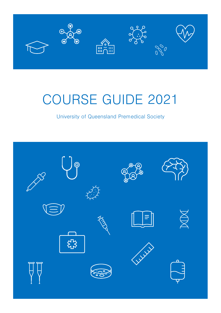

# COURSE GUIDE 2021

University of Queensland Premedical Society

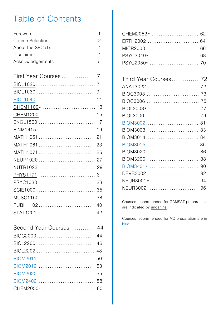## Table of Contents

| First Year Courses  7 |    |
|-----------------------|----|
|                       |    |
|                       |    |
|                       | 11 |
|                       |    |
| CHEM1200              | 15 |
| ENGL1500              | 17 |
| FINM1415              | 19 |
| MATH1051  21          |    |
| MATH1061  23          |    |
| MATH1071  25          |    |
| NEUR1020  27          |    |
| NUTR1023  29          |    |
|                       |    |
| PSYC1030              | 33 |
|                       | 35 |
| MUSC1150              | 38 |
| PUBH1102              | 40 |
|                       |    |

| Second Year Courses 44 |  |
|------------------------|--|
|                        |  |
|                        |  |
|                        |  |
|                        |  |
|                        |  |
|                        |  |
|                        |  |
|                        |  |

| CHEM2052*  62 |  |
|---------------|--|
| ERTH2002  64  |  |
|               |  |
|               |  |
|               |  |
|               |  |

| Third Year Courses 72 |  |
|-----------------------|--|
|                       |  |
|                       |  |
|                       |  |
|                       |  |
|                       |  |
| BIOM3002 81           |  |
| BIOM3003  83          |  |
| BIOM3014 84           |  |
| BIOM3015 85           |  |
| BIOM3020  86          |  |
| BIOM3200  88          |  |
| BIOM3401*  90         |  |
|                       |  |
| NEUR3001* 94          |  |
| NEUR3002  96          |  |

Courses recommended for GAMSAT preparation are indicated by **underline**.

Courses recommended for MD preparation are in blue.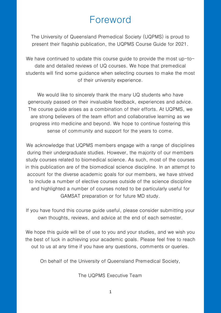## Foreword

The University of Queensland Premedical Society (UQPMS) is proud to present their flagship publication, the UQPMS Course Guide for 2021.

We have continued to update this course guide to provide the most up-todate and detailed reviews of UQ courses. We hope that premedical students will find some guidance when selecting courses to make the most of their university experience.

We would like to sincerely thank the many UQ students who have generously passed on their invaluable feedback, experiences and advice. The course guide arises as a combination of their efforts. At UQPMS, we are strong believers of the team effort and collaborative learning as we progress into medicine and beyond. We hope to continue fostering this sense of community and support for the years to come.

We acknowledge that UQPMS members engage with a range of disciplines during their undergraduate studies. However, the majority of our members study courses related to biomedical science. As such, most of the courses in this publication are of the biomedical science discipline. In an attempt to account for the diverse academic goals for our members, we have strived to include a number of elective courses outside of the science discipline and highlighted a number of courses noted to be particularly useful for GAMSAT preparation or for future MD study.

If you have found this course guide useful, please consider submitting your own thoughts, reviews, and advice at the end of each semester.

We hope this guide will be of use to you and your studies, and we wish you the best of luck in achieving your academic goals. Please feel free to reach out to us at any time if you have any questions, comments or queries.

On behalf of the University of Queensland Premedical Society,

The UQPMS Executive Team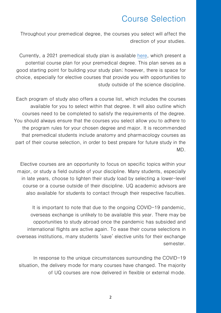## Course Selection

Throughout your premedical degree, the courses you select will affect the direction of your studies.

Currently, a 2021 premedical study plan is available [here,](https://planner.science.uq.edu.au/files/512/Pre-med%20planner%202021.pdf) which present a potential course plan for your premedical degree. This plan serves as a good starting point for building your study plan; however, there is space for choice, especially for elective courses that provide you with opportunities to study outside of the science discipline.

Each program of study also offers a course list, which includes the courses available for you to select within that degree. It will also outline which courses need to be completed to satisfy the requirements of the degree. You should always ensure that the courses you select allow you to adhere to the program rules for your chosen degree and major. It is recommended that premedical students include anatomy and pharmacology courses as part of their course selection, in order to best prepare for future study in the MD.

Elective courses are an opportunity to focus on specific topics within your major, or study a field outside of your discipline. Many students, especially in late years, choose to lighten their study load by selecting a lower-level course or a course outside of their discipline. UQ academic advisors are also available for students to contact through their respective faculties.

It is important to note that due to the ongoing COVID-19 pandemic, overseas exchange is unlikely to be available this year. There may be opportunities to study abroad once the pandemic has subsided and international flights are active again. To ease their course selections in overseas institutions, many students 'save' elective units for their exchange semester.

In response to the unique circumstances surrounding the COVID-19 situation, the delivery mode for many courses have changed. The majority of UQ courses are now delivered in flexible or external mode.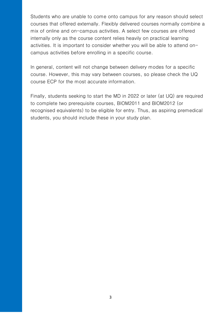Students who are unable to come onto campus for any reason should select courses that offered externally. Flexibly delivered courses normally combine a mix of online and on-campus activities. A select few courses are offered internally only as the course content relies heavily on practical learning activities. It is important to consider whether you will be able to attend oncampus activities before enrolling in a specific course.

In general, content will not change between delivery modes for a specific course. However, this may vary between courses, so please check the UQ course ECP for the most accurate information.

Finally, students seeking to start the MD in 2022 or later (at UQ) are required to complete two prerequisite courses, BIOM2011 and BIOM2012 (or recognised equivalents) to be eligible for entry. Thus, as aspiring premedical students, you should include these in your study plan.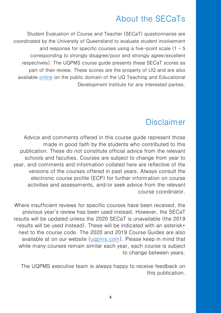## About the SECaTs

Student Evaluation of Course and Teacher (SECaT) questionnaires are coordinated by the University of Queensland to evaluate student involvement and response for specific courses using a five-point scale  $(1 - 5)$ corresponding to strongly disagree/poor and strongly agree/excellent respectively). The UQPMS course guide presents these SECaT scores as part of their review. These scores are the property of UQ and are also available [online](https://itali.uq.edu.au/for-students/have-your-say-secat-and-setutor-evaluations#how-can-I-see-SECAT-results) on the public domain of the UQ Teaching and Educational Development Institute for any interested parties.

## Disclaimer

Advice and comments offered in this course guide represent those made in good faith by the students who contributed to this publication. These do not constitute official advice from the relevant schools and faculties. Courses are subject to change from year to year, and comments and information collated here are reflective of the versions of the courses offered in past years. Always consult the electronic course profile (ECP) for further information on course activities and assessments, and/or seek advice from the relevant course coordinator.

Where insufficient reviews for specific courses have been received, the previous year's review has been used instead. However, the SECaT results will be updated unless the 2020 SECaT is unavailable (the 2019 results will be used instead). These will be indicated with an asterisk\* next to the course code. The 2020 and 2019 Course Guides are also available at on our website [\(uqpms.com\)](https://uqpms.com/). Please keep in mind that while many courses remain similar each year, each course is subject to change between years.

The UQPMS executive team is always happy to receive feedback on this publication.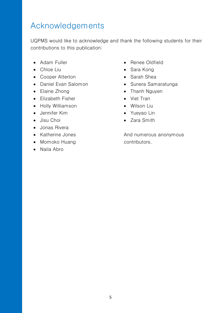## Acknowledgements

UQPMS would like to acknowledge and thank the following students for their contributions to this publication:

- Adam Fuller
- Chloe Liu
- Cooper Atterton
- Daniel Evan Salomon
- Elaine Zhong
- Elizabeth Fisher
- Holly Williamson
- Jennifer Kim
- Jisu Choi
- Jonas Rivera
- Katherine Jones
- Momoko Huang
- Naila Abro
- Renee Oldfield
- Sara Kong
- Sarah Shea
- Sunera Samaratunga
- Thanh Nguyen
- Viet Tran
- Wilson Liu
- Yueyao Lin
- Zara Smith

And numerous anonymous contributors.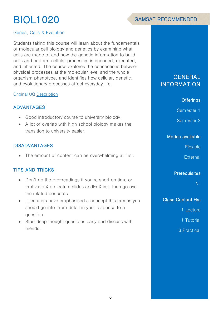# BIOL1020



### Genes, Cells & Evolution

Students taking this course will learn about the fundamentals of molecular cell biology and genetics by examining what cells are made of and how the genetic information to build cells and perform cellular processes is encoded, executed, and inherited. The course explores the connections between physical processes at the molecular level and the whole organism phenotype, and identifies how cellular, genetic, and evolutionary processes affect everyday life.

#### Original UQ [Description](https://my.uq.edu.au/programs-courses/course.html?course_code=BIOL1020)

### ADVANTAGES

- Good introductory course to university biology.
- A lot of overlap with high school biology makes the transition to university easier.

### DISADVANTAGES

• The amount of content can be overwhelming at first.

## TIPS AND TRICKS

- Don't do the pre-readings if you're short on time or motivation; do lecture slides andEdXfirst, then go over the related concepts.
- If lecturers have emphasised a concept this means you should go into more detail in your response to a question.
- Start deep thought questions early and discuss with friends.

## **GENERAL** INFORMATION

### **Offerings**

Semester 1

Semester 2

### Modes available

**Flexible** 

**External** 

**Prerequisites** 

Nil

#### Class Contact Hrs

1 Lecture

1 Tutorial

3 Practical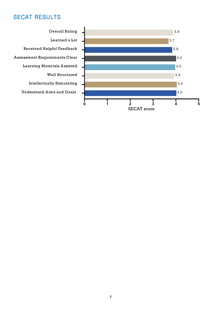

**Overall Rating** Learned a Lot Received Helpful Feedback **Assessment Requirements Clear Learning Materials Assisted** Well Structured **Intellectually Stimulating Understand Aims and Goals**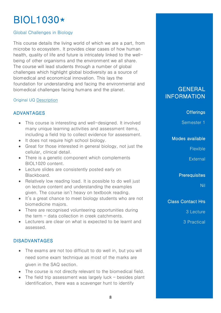## BIOL1030\*

## Global Challenges in Biology

This course details the living world of which we are a part, from microbe to ecosystem. It provides clear cases of how human health, quality of life and future is intricately linked to the wellbeing of other organisms and the environment we all share. The course will lead students through a number of global challenges which highlight global biodiversity as a source of biomedical and economical innovation. This lays the foundation for understanding and facing the environmental and biomedical challenges facing humans and the planet.

## Original UQ [Description](https://my.uq.edu.au/programs-courses/course.html?course_code=BIOL1030)

## ADVANTAGES

- This course is interesting and well-designed. It involved many unique learning activities and assessment items, including a field trip to collect evidence for assessment.
- It does not require high school biology.
- Great for those interested in general biology, not just the cellular, clinical detail.
- There is a genetic component which complements BIOL1020 content.
- Lecture slides are consistently posted early on Blackboard.
- Relatively low reading load. It is possible to do well just on lecture content and understanding the examples given. The course isn't heavy on textbook reading.
- It's a great chance to meet biology students who are not biomedicine majors.
- There are recognised volunteering opportunities during the term – data collection in creek catchments.
- Lecturers are clear on what is expected to be learnt and assessed.

## DISADVANTAGES

- The exams are not too difficult to do well in, but you will need some exam technique as most of the marks are given in the SAQ section.
- The course is not directly relevant to the biomedical field.
- The field trip assessment was largely luck besides plant identification, there was a scavenger hunt to identify

## **GENERAL** INFORMATION

### **Offerings**

Semester 1

### Modes available

Flexible

**External** 

**Prerequisites** 

Nil

Class Contact Hrs

3 Lecture

3 Practical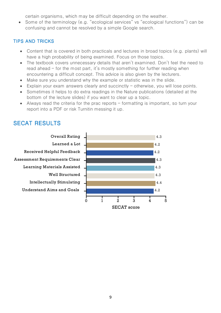certain organisms, which may be difficult depending on the weather.

• Some of the terminology (e.g. "ecological services" vs "ecological functions") can be confusing and cannot be resolved by a simple Google search.

## **TIPS AND TRICKS**

- Content that is covered in both practicals and lectures in broad topics (e.g. plants) will have a high probability of being examined. Focus on those topics.
- The textbook covers unnecessary details that aren't examined. Don't feel the need to read ahead  $-$  for the most part, it's mostly something for further reading when encountering a difficult concept. This advice is also given by the lecturers.
- Make sure you understand why the example or statistic was in the slide.
- Explain your exam answers clearly and succinctly otherwise, you will lose points.
- Sometimes it helps to do extra readings in the Nature publications (detailed at the bottom of the lecture slides) if you want to clear up a topic.
- Always read the criteria for the prac reports formatting is important, so turn your report into a PDF or risk Turnitin messing it up.

## **SECAT RESULTS**



**SECAT** score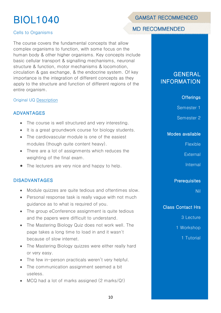# BIOL1040

## Cells to Organisms

The course covers the fundamental concepts that allow complex organisms to function, with some focus on the human body & other higher organisms. Key concepts include basic cellular transport & signalling mechanisms, neuronal structure & function, motor mechanisms & locomotion, circulation & gas exchange, & the endocrine system. Of key importance is the integration of different concepts as they apply to the structure and function of different regions of the entire organism.

### Original UQ [Description](https://my.uq.edu.au/programs-courses/course.html?course_code=BIOL1040)

## ADVANTAGES

- The course is well structured and very interesting.
- It is a great groundwork course for biology students.
- The cardiovascular module is one of the easiest modules (though quite content heavy).
- There are a lot of assignments which reduces the weighting of the final exam.
- The lecturers are very nice and happy to help.

## DISADVANTAGES

- Module quizzes are quite tedious and oftentimes slow.
- Personal response task is really vague with not much guidance as to what is required of you.
- The group eConference assignment is quite tedious and the papers were difficult to understand.
- The Mastering Biology Quiz does not work well. The page takes a long time to load in and it wasn't because of slow internet.
- The Mastering Biology quizzes were either really hard or very easy.
- The few in-person practicals weren't very helpful.
- The communication assignment seemed a bit useless.
- MCQ had a lot of marks assigned (2 marks/Q!)

## **GAMSAT RECOMMENDED**

## **MD RECOMMENDED**

## **GENERAL** INFORMATION

### **Offerings**

Semester 1

Semester 2

#### Modes available

Flexible

**External** 

Internal

**Prerequisites** 

Nil

Class Contact Hrs

3 Lecture

1 Workshop

1 Tutorial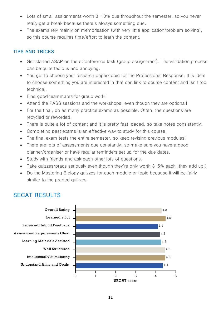- Lots of small assignments worth 3-10% due throughout the semester, so you never really get a break because there's always something due.
- The exams rely mainly on memorisation (with very little application/problem solving), so this course requires time/effort to learn the content.

## TIPS AND TRICKS

- Get started ASAP on the eConference task (group assignment). The validation process can be quite tedious and annoying.
- You get to choose your research paper/topic for the Professional Response. It is ideal to choose something you are interested in that can link to course content and isn't too technical.
- Find good teammates for group work!
- Attend the PASS sessions and the workshops, even though they are optional!
- For the final, do as many practice exams as possible. Often, the questions are recycled or reworded.
- There is quite a lot of content and it is pretty fast-paced, so take notes consistently.
- Completing past exams is an effective way to study for this course.
- The final exam tests the entire semester, so keep revising previous modules!
- There are lots of assessments due constantly, so make sure you have a good planner/organiser or have regular reminders set up for the due dates.
- Study with friends and ask each other lots of questions.
- Take quizzes/pracs seriously even though they're only worth 3-5% each (they add up!)
- Do the Mastering Biology quizzes for each module or topic because it will be fairly similar to the graded quizzes.

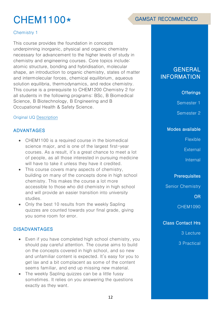## CHEM1100\*

### Chemistry 1

This course provides the foundation in concepts underpinning inorganic, physical and organic chemistry necessary for advancement to the higher levels of study in chemistry and engineering courses. Core topics include: atomic structure, bonding and hybridisation, molecular shape, an introduction to organic chemistry, states of matter and intermolecular forces, chemical equilibrium, aqueous solution equilibria, thermodynamics, and redox chemistry. This course is a prerequisite to CHEM1200 Chemistry 2 for all students in the following programs: BSc, B Biomedical Science, B Biotechnology, B Engineering and B Occupational Health & Safety Science.

#### Original UQ [Description](https://my.uq.edu.au/programs-courses/course.html?course_code=chem1100)

## ADVANTAGES

- CHEM1100 is a required course in the biomedical science major, and is one of the largest first-year courses. As a result, it's a great chance to meet a lot of people, as all those interested in pursuing medicine will have to take it unless they have it credited.
- This course covers many aspects of chemistry, building on many of the concepts done in high school chemistry. This makes the course a lot more accessible to those who did chemistry in high school and will provide an easier transition into university studies.
- Only the best 10 results from the weekly Sapling quizzes are counted towards your final grade, giving you some room for error.

## DISADVANTAGES

- Even if you have completed high school chemistry, you should pay careful attention. The course aims to build on the concepts covered in high school, and so new and unfamiliar content is expected. It's easy for you to get lax and a bit complacent as some of the content seems familiar, and end up missing new material.
- The weekly Sapling quizzes can be a little fussy sometimes. It relies on you answering the questions exactly as they want.

## GENERAL INFORMATION

### **Offerings**

Semester 1

Semester 2

#### Modes available

Flexible

**External** 

Internal

**Prerequisites** 

Senior Chemistry

OR

CHEM1090

### Class Contact Hrs

3 Lecture

3 Practical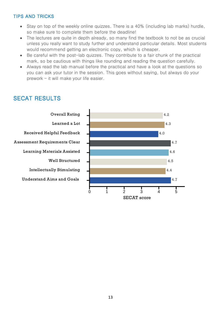## **TIPS AND TRICKS**

- Stay on top of the weekly online quizzes. There is a 40% (including lab marks) hurdle, so make sure to complete them before the deadline!
- The lectures are quite in depth already, so many find the textbook to not be as crucial unless you really want to study further and understand particular details. Most students would recommend getting an electronic copy, which is cheaper.
- Be careful with the post-lab quizzes. They contribute to a fair chunk of the practical mark, so be cautious with things like rounding and reading the question carefully.
- Always read the lab manual before the practical and have a look at the questions so you can ask your tutor in the session. This goes without saying, but always do your  $prework - it will make your life easier.$

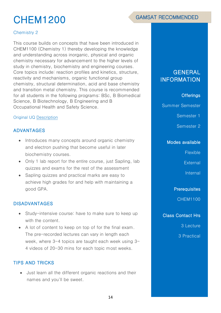# CHEM1200

## Chemistry 2

This course builds on concepts that have been introduced in CHEM1100 (Chemistry 1) thereby developing the knowledge and understanding across inorganic, physical and organic chemistry necessary for advancement to the higher levels of study in chemistry, biochemistry and engineering courses. Core topics include: reaction profiles and kinetics, structure, reactivity and mechanisms, organic functional group chemistry, structural determination, acid and base chemistry and transition metal chemistry. This course is recommended for all students in the following programs: BSc, B Biomedical Science, B Biotechnology, B Engineering and B Occupational Health and Safety Science.

#### Original UQ [Description](https://my.uq.edu.au/programs-courses/course.html?course_code=chem1200)

## ADVANTAGES

- Introduces many concepts around organic chemistry and electron pushing that become useful in later biochemistry courses.
- Only 1 lab report for the entire course, just Sapling, lab quizzes and exams for the rest of the assessment
- Sapling quizzes and practical marks are easy to achieve high grades for and help with maintaining a good GPA.

## DISADVANTAGES

- Study-intensive course: have to make sure to keep up with the content.
- A lot of content to keep on top of for the final exam. The pre-recorded lectures can vary in length each week, where  $3-4$  topics are taught each week using  $3-$ 4 videos of 20-30 mins for each topic most weeks.

## TIPS AND TRICKS

• Just learn all the different organic reactions and their names and you'll be sweet.

## **GENERAL** INFORMATION

## **Offerings**

Summer Semester

Semester 1

Semester 2

#### Modes available

Flexible

**External** 

Internal

**Prerequisites** 

CHEM1100

Class Contact Hrs

3 Lecture

3 Practical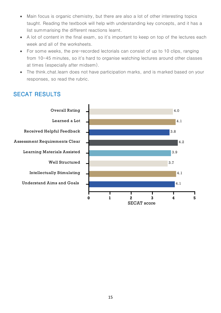- Main focus is organic chemistry, but there are also a lot of other interesting topics taught. Reading the textbook will help with understanding key concepts, and it has a list summarising the different reactions learnt.
- A lot of content in the final exam, so it's important to keep on top of the lectures each week and all of the worksheets.
- For some weeks, the pre-recorded lectorials can consist of up to 10 clips, ranging from 10-45 minutes, so it's hard to organise watching lectures around other classes at times (especially after midsem).
- The think.chat.learn does not have participation marks, and is marked based on your responses, so read the rubric.

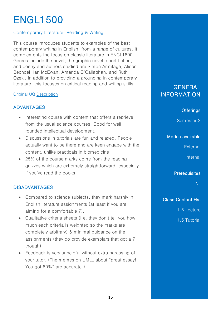# ENGL1500

## Contemporary Literature: Reading & Writing

This course introduces students to examples of the best contemporary writing in English, from a range of cultures. It complements the focus on classic literature in ENGL1800. Genres include the novel, the graphic novel, short fiction, and poetry and authors studied are Simon Armitage, Alison Bechdel, Ian McEwan, Amanda O'Callaghan, and Ruth Ozeki. In addition to providing a grounding in contemporary literature, this focuses on critical reading and writing skills.

### Original UQ [Description](https://my.uq.edu.au/programs-courses/course.html?course_code=engl1500)

## ADVANTAGES

- Interesting course with content that offers a reprieve from the usual science courses. Good for wellrounded intellectual development.
- Discussions in tutorials are fun and relaxed. People actually want to be there and are keen engage with the content, unlike practicals in biomedicine.
- 25% of the course marks come from the reading quizzes which are extremely straightforward, especially if you've read the books.

## DISADVANTAGES

- Compared to science subjects, they mark harshly in English literature assignments (at least if you are aiming for a comfortable 7).
- Qualitative criteria sheets (i.e. they don't tell you how much each criteria is weighted so the marks are completely arbitrary) & minimal guidance on the assignments (they do provide exemplars that got a 7 though).
- Feedback is very unhelpful without extra harassing of your tutor. (The memes on UMLL about "great essay! You got 80%" are accurate.)

## GENERAL INFORMATION

**Offerings** 

Semester 2

### Modes available

**External** 

**Internal** 

**Prerequisites** 

Nil

Class Contact Hrs

1.5 Lecture

1.5 Tutorial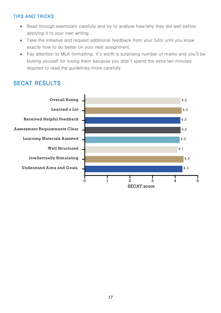## **TIPS AND TRICKS**

- Read through exemplars carefully and try to analyse how/why they did well before applying it to your own writing.
- Take the initiative and request additional feedback from your tutor until you know exactly how to do better on your next assignment.
- Pay attention to MLA formatting. It's worth a surprising number of marks and you'll be kicking yourself for losing them because you didn't spend the extra ten minutes required to read the guidelines more carefully.

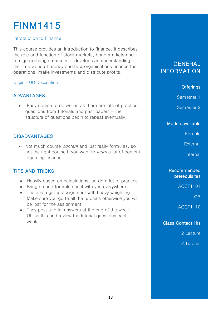# FINM1415

## Introduction to FInance

This course provides an introduction to finance. It describes the role and function of stock markets, bond markets and foreign exchange markets. It develops an understanding of the time value of money and how organisations finance their operations, make investments and distribute profits.

### Original UQ [Description](https://my.uq.edu.au/programs-courses/course.html?course_code=finm1415)

## ADVANTAGES

Easy course to do well in as there are lots of practice questions from tutorials and past papers  $-$  the structure of questions begin to repeat eventually.

## DISADVANTAGES

• Not much course *content* and just really formulas, so not the right course if you want to *learn* a lot of content regarding finance.

## TIPS AND TRICKS

- Heavily based on calculations, so do a lot of practice.
- Bring around formula sheet with you everywhere.
- There is a group assignment with heavy weighting. Make sure you go to all the tutorials otherwise you will be lost for the assignment.
- They post tutorial answers at the end of the week. Utilise this and review the tutorial questions each week.

## **GENERAL INFORMATION**

## **Offerings**

Semester 1

Semester 2

Modes available

Flexible

**External** 

Internal

## Recommended prerequisites

ACCT1101

OR

ACCT1110

Class Contact Hrs

2 Lecture

2 Tutorial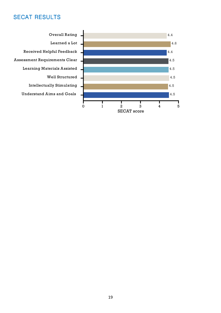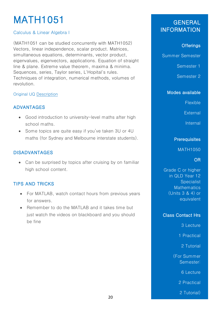# MATH1051

## Calculus & Linear Algebra I

(MATH1051 can be studied concurrently with MATH1052) Vectors, linear independence, scalar product. Matrices, simultaneous equations, determinants, vector product, eigenvalues, eigenvectors, applications. Equation of straight line & plane. Extreme value theorem, maxima & minima. Sequences, series, Taylor series, L'Hopital's rules. Techniques of integration, numerical methods, volumes of revolution.

## Original UQ [Description](https://my.uq.edu.au/programs-courses/course.html?course_code=MATH1051)

## ADVANTAGES

- Good introduction to university-level maths after high school maths.
- Some topics are quite easy if you've taken 3U or 4U maths (for Sydney and Melbourne interstate students).

## DISADVANTAGES

• Can be surprised by topics after cruising by on familiar high school content.

## TIPS AND TRICKS

- For MATLAB, watch contact hours from previous years for answers.
- Remember to do the MATLAB and it takes time but just watch the videos on blackboard and you should be fine

## GENERAL INFORMATION

## **Offerings**

Summer Semester

Semester 1

Semester 2

## Modes available

Flexible

**External** 

Internal

## **Prerequisites**

MATH1050

## OR

Grade C or higher in QLD Year 12 **Specialist Mathematics** (Units 3 & 4) or equivalent

## Class Contact Hrs

3 Lecture

1 Practical

2 Tutorial

(For Summer Semester:

6 Lecture

2 Practical

2 Tutorial)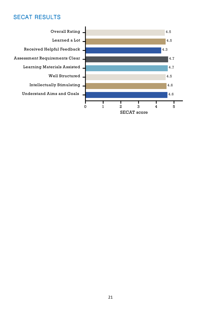Overall Rating. 4.5 Learned a Lot. 4.5 Received Helpful Feedback.  $4.3$ Assessment Requirements Clear  $4.7\,$ **Learning Materials Assisted**  $4.7$ Well Structured, 4.5 **Intellectually Stimulating** 4.6 **Understand Aims and Goals** 4.6 I Т Т Т Т Т  $\pmb{0}$  $\bf{l}$  $\,2$  $\sqrt{5}$ 3  $\boldsymbol{4}$ **SECAT** score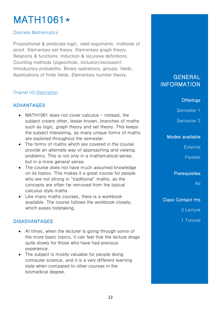## MATH1061\*

### Discrete Mathematics

Propositional & predicate logic, valid arguments, methods of proof. Elementary set theory. Elementary graph theory. Relations & functions. Induction & recursive definitions. Counting methods (pigeonhole, inclusion/exclusion). Introductory probability. Binary operations, groups, fields. Applications of finite fields. Elementary number theory.

### Original UQ [Description](https://my.uq.edu.au/programs-courses/course.html?course_code=MATH1061)

## ADVANTAGES

- MATH1061 does not cover calculus  $-$  instead, the subject covers other, lesser known, branches of maths such as logic, graph theory and set theory. This keeps the subject interesting, as many unique forms of maths are explored throughout the semester.
- The forms of maths which are covered in the course provide an alternate way of approaching and viewing problems. This is not only in a mathematical sense, but in a more general sense.
- The course does not have much assumed knowledge on its topics. This makes it a great course for people who are not strong in "traditional" maths, as the concepts are often far removed from the typical calculus style maths.
- Like many maths courses, there is a workbook available. The course follows the workbook closely, which eases notetaking.

## DISADVANTAGES

- At times, when the lecturer is going through some of the more basic topics, it can feel that the lecture drags quite slowly for those who have had previous experience.
- The subject is mostly valuable for people doing computer science, and it is a very different learning style when compared to other courses in the biomedical degree.

## **GENERAL** INFORMATION

## **Offerings**

Semester 1

Semester 2

## Modes available

**External** 

Flexible

**Prerequisites** 

Nil

Class Contact Hrs

3 Lecture

1 Tutorial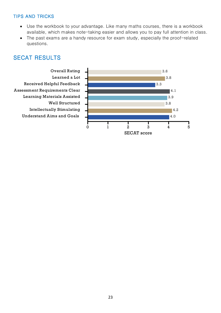## **TIPS AND TRICKS**

- Use the workbook to your advantage. Like many maths courses, there is a workbook available, which makes note-taking easier and allows you to pay full attention in class.
- The past exams are a handy resource for exam study, especially the proof-related questions.

## **SECAT RESULTS**

**Overall Rating** Learned a Lot Received Helpful Feedback **Assessment Requirements Clear Learning Materials Assisted** Well Structured **Intellectually Stimulating Understand Aims and Goals** 

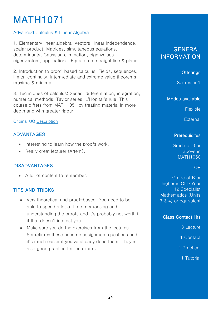# MATH1071

## Advanced Calculus & Linear Algebra I

1. Elementary linear algebra: Vectors, linear independence, scalar product. Matrices, simultaneous equations, determinants, Gaussian elimination, eigenvalues, eigenvectors, applications. Equation of straight line & plane.

2. Introduction to proof-based calculus: Fields, sequences, limits, continuity, intermediate and extreme value theorems, maxima & minima.

3. Techniques of calculus: Series, differentiation, integration, numerical methods, Taylor series, L'Hopital's rule. This course differs from MATH1051 by treating material in more depth and with greater rigour.

### Original UQ [Description](https://my.uq.edu.au/programs-courses/course.html?course_code=MATH1071)

## ADVANTAGES

- Interesting to learn how the proofs work.
- Really great lecturer (Artem).

## DISADVANTAGES

• A lot of content to remember.

## TIPS AND TRICKS

- Very theoretical and proof-based. You need to be able to spend a lot of time memorising and understanding the proofs and it's probably not worth it if that doesn't interest you.
- Make sure you do the exercises from the lectures. Sometimes these become assignment questions and it's much easier if you've already done them. They're also good practice for the exams.

## GENERAL INFORMATION

## **Offerings**

Semester 1

#### Modes available

**Flexible** 

**External** 

### **Prerequisites**

Grade of 6 or above in MATH1050

### OR

Grade of B or higher in QLD Year 12 Specialist Mathematics (Units 3 & 4) or equivalent

### Class Contact Hrs

3 Lecture

1 Contact

1 Practical

1 Tutorial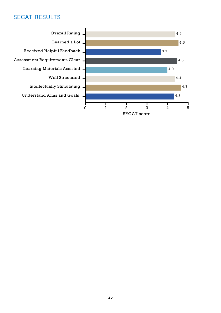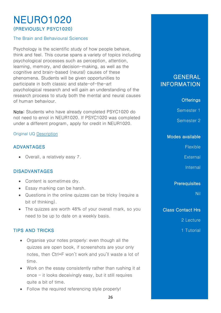## NEURO1020 (PREVIOUSLY PSYC1020)

The Brain and Behavioural Sciences

Psychology is the scientific study of how people behave, think and feel. This course spans a variety of topics including psychological processes such as perception, attention, learning, memory, and decision-making, as well as the cognitive and brain-based (neural) causes of these phenomena. Students will be given opportunities to participate in both classic and state-of-the-art psychological research and will gain an understanding of the research process to study both the mental and neural causes of human behaviour.

Note: Students who have already completed PSYC1020 do not need to enrol in NEUR1020. If PSYC1020 was completed under a different program, apply for credit in NEUR1020.

## Original UQ [Description](https://my.uq.edu.au/programs-courses/course.html?course_code=NEUR1020)

## ADVANTAGES

• Overall, a relatively easy 7.

## DISADVANTAGES

- Content is sometimes dry.
- Essay marking can be harsh.
- Questions in the online quizzes can be tricky (require a bit of thinking).
- The quizzes are worth 48% of your overall mark, so you need to be up to date on a weekly basis.

## TIPS AND TRICKS

- Organise your notes properly: even though all the quizzes are open book, if screenshots are your only notes, then Ctrl+F won't work and you'll waste a lot of time.
- Work on the essay consistently rather than rushing it at once  $-$  it looks deceivingly easy, but it still requires quite a bit of time.
- Follow the required referencing style properly!

## **GENERAL** INFORMATION

## **Offerings**

Semester 1

Semester 2

## Modes available

**Flexible** 

**External** 

Internal

### **Prerequisites**

Nil

## Class Contact Hrs

2 Lecture

1 Tutorial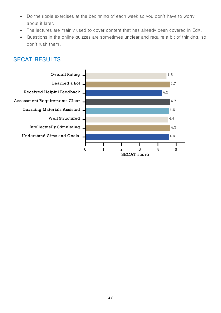- Do the ripple exercises at the beginning of each week so you don't have to worry about it later.
- The lectures are mainly used to cover content that has already been covered in EdX.
- Questions in the online quizzes are sometimes unclear and require a bit of thinking, so  $\bullet$ don't rush them.

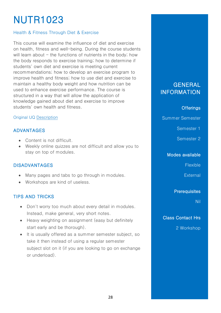# NUTR1023

### Health & Fitness Through Diet & Exercise

This course will examine the influence of diet and exercise on health, fitness and well-being. During the course students will learn about  $-$  the functions of nutrients in the body; how the body responds to exercise training; how to determine if students' own diet and exercise is meeting current recommendations; how to develop an exercise program to improve health and fitness; how to use diet and exercise to maintain a healthy body weight and how nutrition can be used to enhance exercise performance. The course is structured in a way that will allow the application of knowledge gained about diet and exercise to improve students' own health and fitness.

#### Original UQ [Description](https://my.uq.edu.au/programs-courses/course.html?course_code=nutr1023)

## ADVANTAGES

- Content is not difficult.
- Weekly online quizzes are not difficult and allow you to stay on top of modules.

## DISADVANTAGES

- Many pages and tabs to go through in modules.
- Workshops are kind of useless.

## TIPS AND TRICKS

- Don't worry too much about every detail in modules. Instead, make general, very short notes.
- Heavy weighting on assignment (easy but definitely start early and be thorough).
- It is usually offered as a summer semester subject, so take it then instead of using a regular semester subject slot on it (if you are looking to go on exchange or underload).

## **GENERAL INFORMATION**

#### **Offerings**

Summer Semester

Semester 1

Semester 2

#### Modes available

Flexible

**External** 

### **Prerequisites**

Nil

Class Contact Hrs

2 Workshop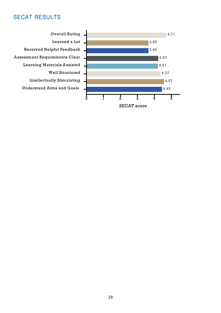**Overall Rating** Learned a Lot Received Helpful Feedback Assessment Requirements Clear **Learning Materials Assisted** Well Structured **Intellectually Stimulating Understand Aims and Goals** 

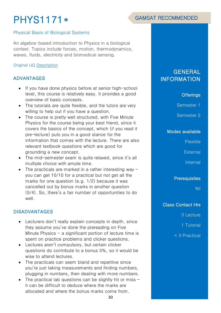# PHYS1171\*

### Physical Basis of Biological Systems

An algebra-based introduction to Physics in a biological context. Topics include forces, motion, thermodynamics, waves, fluids, electricity and biomedical sensing.

#### Original UQ [Description](https://my.uq.edu.au/programs-courses/course.html?course_code=PHYS1171)

## ADVANTAGES

- If you have done physics before at senior high-school level, this course is relatively easy. It provides a good overview of basic concepts.
- The tutorials are quite flexible, and the tutors are very willing to help out if you have a question.
- The course is pretty well structured, with Five Minute Physics for the course being your best friend, since it covers the basics of the concept, which (if you read it pre-lecture) puts you in a good stance for the information that comes with the lecture. There are also relevant textbook questions which are good for grounding a new concept.
- The mid-semester exam is quite relaxed, since it's all multiple choice with ample time.
- The practicals are marked in a rather interesting way you can get 10/10 for a practical but not get all the marks for one question (e.g. 1/2) because it was cancelled out by bonus marks in another question (5/4). So, there's a fair number of opportunities to do well.

## DISADVANTAGES

- Lecturers don't really explain concepts in depth, since they assume you've done the prereading on Five Minute Physics  $-$  a significant portion of lecture time is spent on practice problems and clicker questions.
- Lectures aren't compulsory, but certain clicker questions do contribute to a bonus 5%, so it would be wise to attend lectures.
- The practicals can seem bland and repetitive since you're just taking measurements and finding numbers, plugging in numbers, then dealing with more numbers.
- The practical lab questions can be slightly hit or miss it can be difficult to deduce where the marks are allocated and where the bonus marks come from.

## **GENERAL** INFORMATION

### **Offerings**

Semester 1

Semester 2

#### Modes available

**Flexible** 

**External** 

**Internal** 

**Prerequisites** 

Nil

Class Contact Hrs

3 Lecture

1 Tutorial

< 3 Practical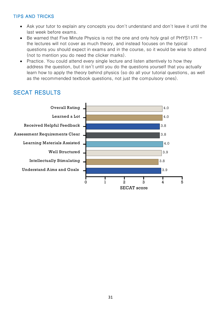## **TIPS AND TRICKS**

- Ask your tutor to explain any concepts you don't understand and don't leave it until the last week before exams.
- Be warned that Five Minute Physics is not the one and only holy grail of PHYS1171 the lectures will not cover as much theory, and instead focuses on the typical questions you should expect in exams and in the course, so it would be wise to attend (not to mention you do need the clicker marks).
- Practice. You could attend every single lecture and listen attentively to how they address the question, but it isn't until you do the questions yourself that you actually learn how to apply the theory behind physics (so do all your tutorial questions, as well as the recommended textbook questions, not just the compulsory ones).

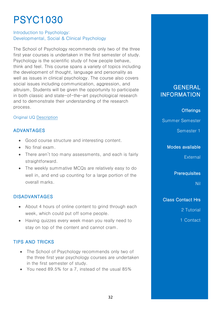# PSYC1030

## Introduction to Psychology: Developmental, Social & Clinical Psychology

The School of Psychology recommends only two of the three first year courses is undertaken in the first semester of study. Psychology is the scientific study of how people behave, think and feel. This course spans a variety of topics including the development of thought, language and personality as well as issues in clinical psychology. The course also covers social issues including communication, aggression, and altruism, Students will be given the opportunity to participate in both classic and state-of-the-art psychological research and to demonstrate their understanding of the research process.

### Original UQ [Description](https://my.uq.edu.au/programs-courses/course.html?course_code=PSYC1030)

## ADVANTAGES

- Good course structure and interesting content.
- No final exam.
- There aren't too many assessments, and each is fairly straightforward.
- The weekly summative MCQs are relatively easy to do well in, and end up counting for a large portion of the overall marks.

## DISADVANTAGES

- About 4 hours of online content to grind through each week, which could put off some people.
- Having quizzes every week mean you really need to stay on top of the content and cannot cram.

## TIPS AND TRICKS

- The School of Psychology recommends only two of the three first year psychology courses are undertaken in the first semester of study.
- You need 89.5% for a 7, instead of the usual 85%

## GENERAL INFORMATION

### **Offerings**

Summer Semester

Semester 1

#### Modes available

**External** 

**Prerequisites** 

Nil

## Class Contact Hrs

2 Tutorial

1 Contact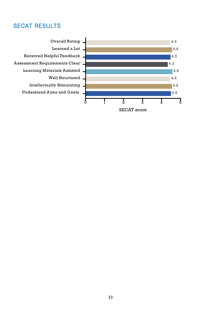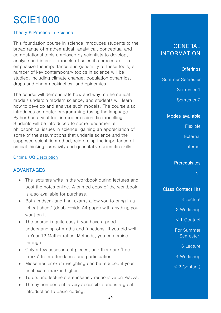# SCIE1000

### Theory & Practice in Science

This foundation course in science introduces students to the broad range of mathematical, analytical, conceptual and computational tools employed by scientists to develop, analyse and interpret models of scientific processes. To emphasize the importance and generality of these tools, a number of key contemporary topics in science will be studied, including climate change, population dynamics, drugs and pharmacokinetics, and epidemics.

The course will demonstrate how and why mathematical models underpin modern science, and students will learn how to develop and analyse such models. The course also introduces computer programming (using the language Python) as a vital tool in modern scientific modelling. Students will be introduced to some fundamental philosophical issues in science, gaining an appreciation of some of the assumptions that underlie science and the supposed scientific method, reinforcing the importance of critical thinking, creativity and quantitative scientific skills.

#### Original UQ [Description](https://my.uq.edu.au/programs-courses/course.html?course_code=SCIE1000)

## ADVANTAGES

- The lecturers write in the workbook during lectures and post the notes online. A printed copy of the workbook is also available for purchase.
- Both midsem and final exams allow you to bring in a 'cheat sheet' (double-side A4 page) with anything you want on it.
- The course is quite easy if you have a good understanding of maths and functions. If you did well in Year 12 Mathematical Methods, you can cruise through it.
- Only a few assessment pieces, and there are 'free marks' from attendance and participation.
- Midsemester exam weighting can be reduced if your final exam mark is higher.
- Tutors and lecturers are insanely responsive on Piazza.
- The python content is very accessible and is a great introduction to basic coding.

## **GENERAL** INFORMATION

## **Offerings**

Summer Semester

Semester 1

Semester 2

Modes available

**Flexible** 

**External** 

**Internal** 

#### **Prerequisites**

Nil

### Class Contact Hrs

3 Lecture

2 Workshop

< 1 Contact

(For Summer Semester:

6 Lecture

4 Workshop

< 2 Contact)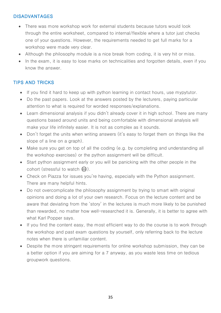## DISADVANTAGES

- There was more workshop work for external students because tutors would look through the entire worksheet, compared to internal/flexible where a tutor just checks one of your questions. However, the requirements needed to get full marks for a workshop were made very clear.
- Although the philosophy module is a nice break from coding, it is very hit or miss.
- In the exam, it is easy to lose marks on technicalities and forgotten details, even if you know the answer.

## TIPS AND TRICKS

- If you find it hard to keep up with python learning in contact hours, use mypytutor.
- Do the past papers. Look at the answers posted by the lecturers, paying particular attention to what is required for worded responses/explanations.
- Learn dimensional analysis if you didn't already cover it in high school. There are many questions based around units and being comfortable with dimensional analysis will make your life infinitely easier. It is not as complex as it sounds.
- Don't forget the units when writing answers (it's easy to forget them on things like the slope of a line on a graph).
- Make sure you get on top of all the coding (e.g. by completing and understanding all the workshop exercises) or the python assignment will be difficult.
- Start python assignment early or you will be panicking with the other people in the cohort (stressful to watch  $\circled{e}$ ).
- Check on Piazza for issues you're having, especially with the Python assignment. There are many helpful hints.
- Do not overcomplicate the philosophy assignment by trying to smart with original opinions and doing a lot of your own research. Focus on the lecture content and be aware that deviating from the 'story' in the lectures is much more likely to be punished than rewarded, no matter how well-researched it is. Generally, it is better to agree with what Karl Popper says.
- If you find the content easy, the most efficient way to do the course is to work through the workshop and past exam questions by yourself, only referring back to the lecture notes when there is unfamiliar content.
- Despite the more stringent requirements for online workshop submission, they can be a better option if you are aiming for a 7 anyway, as you waste less time on tedious groupwork questions.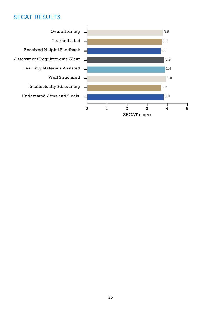**Overall Rating** Learned a Lot Received Helpful Feedback **Assessment Requirements Clear Learning Materials Assisted** Well Structured **Intellectually Stimulating Understand Aims and Goals** 

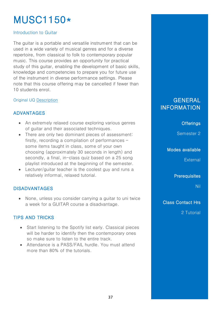# MUSC1150\*

## Introduction to Guitar

The guitar is a portable and versatile instrument that can be used in a wide variety of musical genres and for a diverse repertoire, from classical to folk to contemporary popular music. This course provides an opportunity for practical study of this guitar, enabling the development of basic skills, knowledge and competencies to prepare you for future use of the instrument in diverse performance settings. Please note that this course offering may be cancelled if fewer than 10 students enrol.

## Original UQ [Description](https://my.uq.edu.au/programs-courses/course.html?course_code=MUSC1150)

## ADVANTAGES

- An extremely relaxed course exploring various genres of guitar and their associated techniques.
- There are only two dominant pieces of assessment: firstly, recording a compilation of performances – some items taught in class, some of your own choosing (approximately 30 seconds in length) and secondly, a final, in-class quiz based on a 25 song playlist introduced at the beginning of the semester.
- Lecturer/guitar teacher is the coolest guy and runs a relatively informal, relaxed tutorial.

## DISADVANTAGES

• None, unless you consider carrying a guitar to uni twice a week for a GUITAR course a disadvantage.

## TIPS AND TRICKS

- Start listening to the Spotify list early. Classical pieces will be harder to identify then the contemporary ones so make sure to listen to the entire track.
- Attendance is a PASS/FAIL hurdle. You must attend more than 80% of the tutorials.

# **GENERAL INFORMATION**

**Offerings** 

Semester 2

Modes available

External

**Prerequisites** 

Nil

Class Contact Hrs

2 Tutorial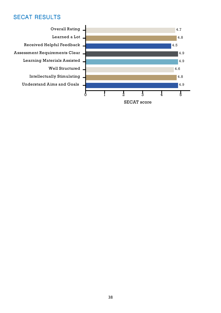**Overall Rating** Learned a Lot Received Helpful Feedback Assessment Requirements Clear **Learning Materials Assisted Well Structured Intellectually Stimulating Understand Aims and Goals** 

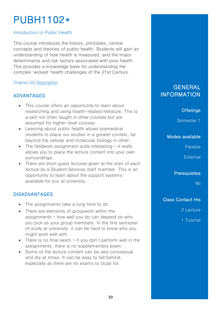# PUBH1102\*

#### Introduction to Public Health

This course introduces the history, principles, central concepts and theories of public health. Students will gain an understanding of how health is measured, and the major determinants and risk factors associated with poor health. This provides a knowledge base for understanding the complex 'wicked' health challenges of the 21st Century.

## Original UQ [Description](https://my.uq.edu.au/programs-courses/course.html?course_code=PUBH1102)

## ADVANTAGES

- This course offers an opportunity to learn about researching and using health-related literature. This is a skill not often taught in other courses but are assumed for higher-level courses.
- Learning about public health allows premedical students to place our studies in a greater context, far beyond the cellular and molecular biology in other .
- The fieldwork assignment quite interesting it really allows you to place the lecture content into your own surroundings.
- There are short guest lectures given at the start of each lecture by a Student Services staff member. This is an opportunity to learn about the support systems available for you at university.

## DISADVANTAGES

- The assignments take a long time to do
- There are elements of groupwork within the assignments – how well you do can depend on who you pick as your group members. In the first semester of study at university, it can be hard to know who you might work well with.
- There is no final exam if you don't perform well in the assignments, there is no supplementary exam.
- Some of the lecture content can be very conceptual and dry at times. It can be easy to fall behind, especially as there are no exams to study for.

## GENERAL INFORMATION

**Offerings** 

Semester 1

#### Modes available

**Flexible** 

**External** 

**Prerequisites** 

Nil

## Class Contact Hrs

2 Lecture

1 Tutorial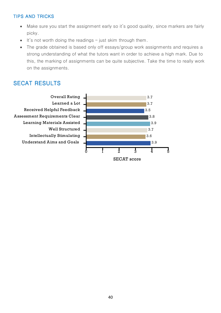## **TIPS AND TRICKS**

- Make sure you start the assignment early so it's good quality, since markers are fairly picky.
- $\bullet$  It's not worth doing the readings just skim through them.
- The grade obtained is based only off essays/group work assignments and requires a strong understanding of what the tutors want in order to achieve a high mark. Due to this, the marking of assignments can be quite subjective. Take the time to really work on the assignments.



**SECAT** score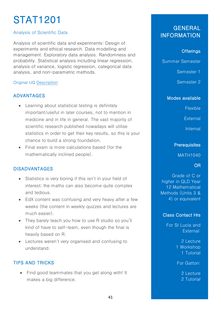# STAT1201

## Analysis of Scientific Data

Analysis of scientific data and experiments: Design of experiments and ethical research. Data modelling and management. Exploratory data analysis. Randomness and probability. Statistical analysis including linear regression, analysis of variance, logistic regression, categorical data analysis, and non-parametric methods.

## Original UQ [Description](https://my.uq.edu.au/programs-courses/course.html?course_code=stat1201)

## ADVANTAGES

- Learning about statistical testing is definitely important/useful in later courses, not to mention in medicine and in life in general. The vast majority of scientific research published nowadays will utilise statistics in order to get their key results, so this is your chance to build a strong foundation.
- Final exam is more calculations based (for the mathematically inclined people).

## DISADVANTAGES

- Statistics is very boring if this isn't in your field of interest; the maths can also become quite complex and tedious.
- EdX content was confusing and very heavy after a few weeks (the content in weekly quizzes and lectures are much easier).
- They barely teach you how to use R studio so you'll kind of have to self-learn, even though the final is heavily based on R.
- Lectures weren't very organised and confusing to understand.

## TIPS AND TRICKS

• Find good teammates that you get along with! It makes a big difference.

## GENERAL INFORMATION

## **Offerings**

Summer Semester

Semester 1

Semester 2

#### Modes available

Flexible

**External** 

**Internal** 

## **Prerequisites**

MATH1040

## OR

Grade of C or higher in QLD Year 12 Mathematical Methods (Units 3 & 4) or equivalent

## Class Contact Hrs

For St Lucia and External:

> 2 Lecture 1 Workshop 1 Tutorial

For Gatton:

2 Lecture 2 Tutorial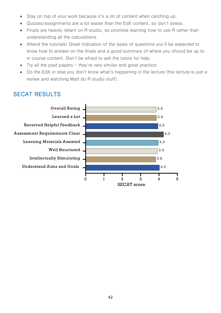- Stay on top of your work because it's a lot of content when catching up.
- Quizzes/assignments are a lot easier than the EdX content, so don't stress.
- Finals are heavily reliant on R studio, so prioritise learning how to use R rather than understanding all the calculations.
- Attend the tutorials! Great indication of the types of questions you'll be expected to know how to answer on the finals and a good summary of where you should be up to in course content. Don't be afraid to ask the tutors for help.
- Try all the past papers  $-$  they're very similar and great practice.
- Do the EdX or else you don't know what's happening in the lecture (the lecture is just a review and watching Matt do R studio stuff).

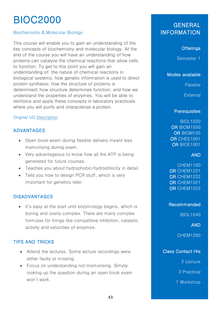# BIOC2000

## Biochemistry & Molecular Biology

This course will enable you to gain an understanding of the key concepts of biochemistry and molecular biology. At the end of the course you will have an understanding of how proteins can catalyse the chemical reactions that allow cells to function. To get to this point you will gain an understanding of: the nature of chemical reactions in biological systems; how genetic information is used to direct protein synthesis; how the structure of proteins is determined; how structure determines function; and how we understand the properties of enzymes. You will be able to reinforce and apply these concepts in laboratory practicals where you will purify and characterise a protein.

#### Original UQ [Description](https://my.uq.edu.au/programs-courses/course.html?course_code=BIOC2000)

## ADVANTAGES

- Open book exam during flexible delivery meant less memorising during exam.
- Very advantageous to know how all the ATP is being generated for future courses.
- Teaches you about hydrophobic/hydrophilicity in detail.
- Tells you how to design PCR stuff, which is very important for genetics later.

## DISADVANTAGES

• It's easy at the start until enzymology begins, which is boring and overly complex. There are many complex formulas for things like competitive inhibition, catalytic activity and velocities of enzymes.

## TIPS AND TRICKS

- Attend the lectures. Some lecture recordings were either faulty or missing.
- Focus on understanding not memorising. Simply looking up the question during an open book exam won't work.

# GENERAL **INFORMATION**

## **Offerings**

Semester 1

Modes available

Flexible

**External** 

#### **Prerequisites**

BIOL1020 OR BIOM1050 OR BIOM105 OR CHEE1001 OR BIOE1001

#### AND

CHEM1100 OR CHEM1221 OR CHEM1222 OR CHEM1021 OR CHEM1022

#### Recommended

BIOL1040

AND

CHEM1200

## Class Contact Hrs

2 Lecture

3 Practical

1 Workshop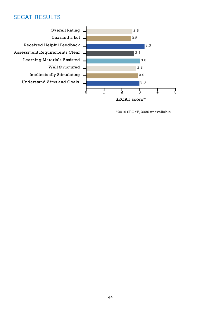**Overall Rating** Learned a Lot Received Helpful Feedback **Assessment Requirements Clear Learning Materials Assisted Well Structured Intellectually Stimulating Understand Aims and Goals** 



\*2019 SECaT, 2020 unavailable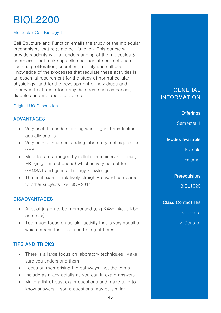# BIOL2200

## Molecular Cell Biology I

Cell Structure and Function entails the study of the molecular mechanisms that regulate cell function. This course will provide students with an understanding of the molecules & complexes that make up cells and mediate cell activities such as proliferation, secretion, motility and cell death. Knowledge of the processes that regulate these activities is an essential requirement for the study of normal cellular physiology, and for the development of new drugs and improved treatments for many disorders such as cancer, diabetes and metabolic diseases.

## Original UQ [Description](https://my.uq.edu.au/programs-courses/course.html?course_code=BIOL2200)

## ADVANTAGES

- Very useful in understanding what signal transduction actually entails.
- Very helpful in understanding laboratory techniques like GFP.
- Modules are arranged by cellular machinery (nucleus, ER, golgi, mitochondria) which is very helpful for GAMSAT and general biology knowledge.
- The final exam is relatively straight-forward compared to other subjects like BIOM2011.

## DISADVANTAGES

- A lot of jargon to be memorised (e.g.K48-linked, Ikbcomplex).
- Too much focus on cellular activity that is very specific, which means that it can be boring at times.

## TIPS AND TRICKS

- There is a large focus on laboratory techniques. Make sure you understand them.
- Focus on memorising the pathways, not the terms.
- Include as many details as you can in exam answers.
- Make a list of past exam questions and make sure to know answers  $-$  some questions may be similar.

## **GENERAL** INFORMATION

## **Offerings**

Semester 1

## Modes available

Flexible

**External** 

**Prerequisites** 

BIOL1020

## Class Contact Hrs

3 Lecture

3 Contact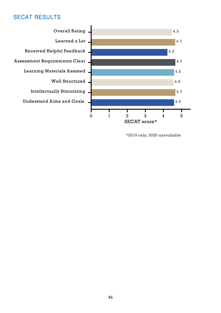

\*2019 only, 2020 unavailable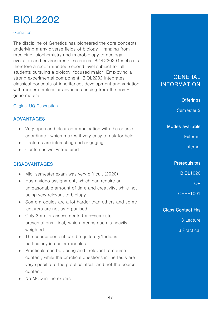# BIOL2202

#### **Genetics**

The discipline of Genetics has pioneered the core concepts underlying many diverse fields of biology  $-$  ranging from medicine, biochemistry and microbiology to ecology, evolution and environmental sciences. BIOL2202 Genetics is therefore a recommended second level subject for all students pursuing a biology-focused major. Employing a strong experimental component, BIOL2202 integrates classical concepts of inheritance, development and variation with modern molecular advances arising from the postgenomic era.

#### Original UQ [Description](https://my.uq.edu.au/programs-courses/course.html?course_code=BIOL2202)

## ADVANTAGES

- Very open and clear communication with the course coordinator which makes it very easy to ask for help.
- Lectures are interesting and engaging.
- Content is well-structured.

## DISADVANTAGES

- Mid-semester exam was very difficult (2020).
- Has a video assignment, which can require an unreasonable amount of time and creativity, while not being very relevant to biology.
- Some modules are a lot harder than others and some lecturers are not as organised.
- Only 3 major assessments (mid-semester, presentations, final) which means each is heavily weighted.
- The course content can be quite dry/tedious, particularly in earlier modules.
- Practicals can be boring and irrelevant to course content, while the practical questions in the tests are very specific to the practical itself and not the course content.
- No MCQ in the exams.

## GENERAL **INFORMATION**

## **Offerings**

Semester 2

Modes available

**External** 

Internal

**Prerequisites** 

BIOL1020

OR

CHEE1001

## Class Contact Hrs

3 Lecture

3 Practical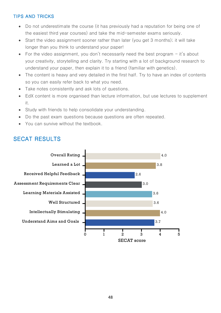## **TIPS AND TRICKS**

- Do not underestimate the course (it has previously had a reputation for being one of the easiest third year courses) and take the mid-semester exams seriously.
- Start the video assignment sooner rather than later (you get 3 months); it will take longer than you think to understand your paper!
- For the video assignment, you don't necessarily need the best program  $-$  it's about your creativity, storytelling and clarity. Try starting with a lot of background research to understand your paper, then explain it to a friend (familiar with genetics).
- The content is heavy and very detailed in the first half. Try to have an index of contents so you can easily refer back to what you need.
- Take notes consistently and ask lots of questions.
- EdX content is more organised than lecture information, but use lectures to supplement  $\bullet$ it.
- Study with friends to help consolidate your understanding.
- Do the past exam questions because questions are often repeated.
- You can survive without the textbook.

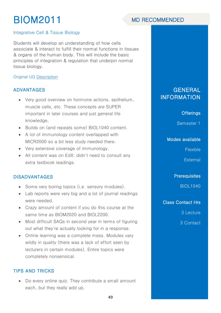# BIOM2011

#### Integrative Cell & Tissue Biology

Students will develop an understanding of how cells associate & interact to fulfill their normal functions in tissues & organs of the human body. This will include the basic principles of integration & regulation that underpin normal tissue biology.

#### Original UQ [Description](https://my.uq.edu.au/programs-courses/course.html?course_code=BIOM2011)

## ADVANTAGES

- Very good overview on hormone actions, epithelium, muscle cells, etc. These concepts are SUPER important in later courses and just general life knowledge.
- Builds on (and repeats some) BIOL1040 content.
- A lot of immunology content overlapped with MICR2000 so a bit less study needed there.
- Very extensive coverage of immunology.
- All content was on EdX: didn't need to consult any extra textbook readings.

## DISADVANTAGES

- Some very boring topics (i.e. sensory modules).
- Lab reports were very big and a lot of journal readings were needed.
- Crazy amount of content if you do this course at the same time as BIOM2020 and BIOL2200.
- Most difficult SAQs in second year in terms of figuring out what they're actually looking for in a response.
- Online learning was a complete mess. Modules vary wildly in quality (there was a lack of effort seen by lecturers in certain modules). Entire topics were completely nonsensical.

## TIPS AND TRICKS

• Do every online quiz. They contribute a small amount each, but they really add up.

## **GENERAL** INFORMATION

## **Offerings**

Semester 1

#### Modes available

Flexible

**External** 

**Prerequisites** 

BIOL1040

Class Contact Hrs

3 Lecture

3 Contact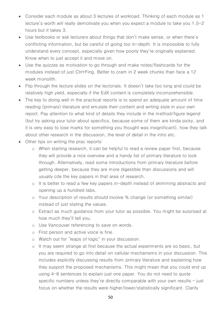- Consider each module as about 3 lectures of workload. Thinking of each module as 1 lecture's worth will really demotivate you when you expect a module to take you 1.5-2 hours but it takes 3.
- Use textbooks or ask lecturers about things that don't make sense, or when there's conflicting information, but be careful of going too in-depth. It is impossible to fully understand every concept, especially given how poorly they're originally explained. Know when to just accept it and move on.
- Use the quizzes as motivation to go through and make notes/flashcards for the modules instead of just Ctrl+Fing. Better to cram in 2 week chunks than face a 12 week monolith.
- Flip through the lecture slides on the lectorials. It doesn't take too long and could be relatively high yield, especially if the EdX content is completely incomprehensible.
- The key to doing well in the practical reports is to spend an adequate amount of time reading (primary) literature and emulate their content and writing style in your own report. Pay attention to what kind of details they include in the method/figure legend (but try asking your tutor about specifics, because some of them are kinda picky, and it is very easy to lose marks for something you thought was insignificant), how they talk about other research in the discussion, the level of detail in the intro etc.
- Other tips on writing the prac reports:
	- o When starting research, it can be helpful to read a review paper first, because they will provide a nice overview and a handy list of primary literature to look through. Alternatively, read some introductions from primary literature before getting deeper, because they are more digestible than discussions and will usually cite the key papers in that area of research.
	- o It is better to read a few key papers in-depth instead of skimming abstracts and opening up a hundred tabs.
	- o Your description of results should involve % change (or something similar) instead of just stating the values.
	- o Extract as much guidance from your tutor as possible. You might be surprised at how much they'll tell you.
	- o Use Vancouver referencing to save on words.
	- o First person and active voice is fine.
	- o Watch out for "leaps of logic" in your discussion.
	- o It may seem strange at first because the actual experiments are so basic, but you are required to go into detail on cellular mechanisms in your discussion. This includes explicitly discussing results from primary literature and explaining how they support the proposed mechanisms. This might mean that you could end up using 4-6 sentences to explain just one paper. You do not need to quote specific numbers unless they're directly comparable with your own results – just focus on whether the results were higher/lower/statistically significant. Clarify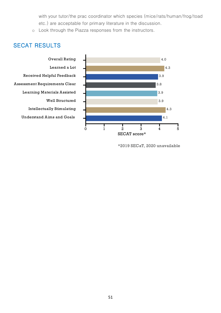with your tutor/the prac coordinator which species (mice/rats/human/frog/toad etc.) are acceptable for primary literature in the discussion.

o Look through the Piazza responses from the instructors.

## **SECAT RESULTS**



**Overall Rating** Learned a Lot Received Helpful Feedback **Assessment Requirements Clear Learning Materials Assisted** Well Structured **Intellectually Stimulating Understand Aims and Goals** 

\*2019 SECaT, 2020 unavailable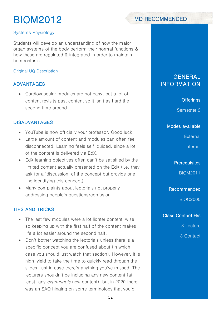# BIOM2012



## Systems Physiology

Students will develop an understanding of how the major organ systems of the body perform their normal functions & how these are regulated & integrated in order to maintain homeostasis.

## Original UQ [Description](https://my.uq.edu.au/programs-courses/course.html?course_code=BIOM2012)

## ADVANTAGES

• Cardiovascular modules are not easy, but a lot of content revisits past content so it isn't as hard the second time around.

## DISADVANTAGES

- YouTube is now officially your professor. Good luck.
- Large amount of content and modules can often feel disconnected. Learning feels self-guided, since a lot of the content is delivered via EdX.
- EdX learning objectives often can't be satisified by the limited content actually presented on the EdX (i.e. they ask for a 'discussion' of the concept but provide one line identifying this concept).
- Many complaints about lectorials not properly addressing people's questions/confusion.

## TIPS AND TRICKS

- The last few modules were a lot lighter content-wise, so keeping up with the first half of the content makes life a lot easier around the second half.
- Don't bother watching the lectorials unless there is a specific concept you are confused about (in which case you should just watch that section). However, it is high-yield to take the time to quickly read through the slides, just in case there's anything you've missed. The lecturers shouldn't be including any new content (at least, any *examinable* new content), but in 2020 there was an SAQ hinging on some terminology that you'd

## GENERAL INFORMATION

## **Offerings**

Semester 2

Modes available

**External** 

Internal

**Prerequisites** 

BIOM2011

Recommended

BIOC2000

Class Contact Hrs

3 Lecture

3 Contact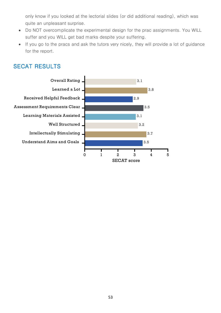only know if you looked at the lectorial slides (or did additional reading), which was quite an unpleasant surprise.

- Do NOT overcomplicate the experimental design for the prac assignments. You WILL suffer and you WILL get bad marks despite your suffering.
- If you go to the pracs and ask the tutors very nicely, they will provide a lot of guidance for the report.

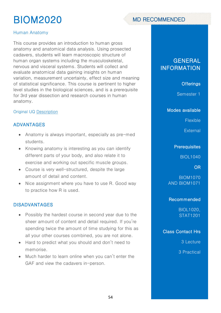# BIOM2020

# **MD RECOMMENDED**

## Human Anatomy

This course provides an introduction to human gross anatomy and anatomical data analysis. Using prosected cadavers, students will learn macroscopic structure of human organ systems including the musculoskeletal, nervous and visceral systems. Students will collect and evaluate anatomical data gaining insights on human variation, measurement uncertainty, effect size and meaning of statistical significance. This course is pertinent to higher level studies in the biological sciences, and is a prerequisite for 3rd year dissection and research courses in human anatomy.

## Original UQ [Description](https://my.uq.edu.au/programs-courses/course.html?course_code=BIOM2020)

## ADVANTAGES

- Anatomy is always important, especially as pre-med students.
- Knowing anatomy is interesting as you can identify different parts of your body, and also relate it to exercise and working out specific muscle groups.
- Course is very well-structured, despite the large amount of detail and content.
- Nice assignment where you have to use R. Good way to practice how R is used.

## DISADVANTAGES

- Possibly the hardest course in second year due to the sheer amount of content and detail required. If you're spending twice the amount of time studying for this as all your other courses combined, you are not alone.
- Hard to predict what you should and don't need to memorise.
- Much harder to learn online when you can't enter the GAF and view the cadavers in-person.

# **GENERAL** INFORMATION

## **Offerings**

Semester 1

#### Modes available

Flexible

**External** 

## **Prerequisites**

BIOL1040

OR

BIOM1070 AND BIOM1071

## Recommended

BIOL1020, STAT1201

Class Contact Hrs

3 Lecture

3 Practical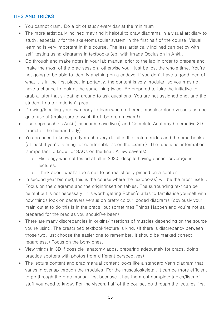## TIPS AND TRICKS

- You cannot cram. Do a bit of study every day at the minimum.
- The more artistically inclined may find it helpful to draw diagrams in a visual art diary to study, especially for the skeletomuscular system in the first half of the course. Visual learning is very important in this course. The less artistically inclined can get by with self-testing using diagrams in textbooks (eg. with Image Occlusion in Anki).
- Go through and make notes in your lab manual prior to the lab in order to prepare and make the most of the prac session, otherwise you'll just be lost the whole time. You're not going to be able to identify anything on a cadaver if you don't have a good idea of what it is in the first place. Importantly, the content is very modular, so you may not have a chance to look at the same thing twice. Be prepared to take the initiative to grab a tutor that's floating around to ask questions. You are not assigned one, and the student to tutor ratio isn't great.
- Drawing/labelling your own body to learn where different muscles/blood vessels can be quite useful (make sure to wash it off before an exam!)
- Use apps such as Anki (flashcards save lives) and Complete Anatomy (interactive 3D model of the human body).
- You do need to know pretty much every detail in the lecture slides and the prac books (at least if you're aiming for comfortable 7s on the exams). The functional information is important to know for SAQs on the final. A few caveats:
	- o Histology was not tested at all in 2020, despite having decent coverage in lectures.
	- o Think about what's too small to be realistically pinned on a spotter.
- In second year biomed, this is the course where the textbook(s) will be the most useful. Focus on the diagrams and the origin/insertion tables. The surrounding text can be helpful but is not necessary. It is worth getting Rohen's atlas to familiarise yourself with how things look on cadavers versus on pretty colour-coded diagrams (obviously your main outlet to do this is in the pracs, but sometimes Things Happen and you're not as prepared for the prac as you should've been).
- There are many discrepancies in origins/insertions of muscles depending on the source you're using. The prescribed textbook/lecture is king. (If there is discrepancy between those two, just choose the easier one to remember. It should be marked correct regardless.) Focus on the bony ones.
- View things in 3D if possible (anatomy apps, preparing adequately for pracs, doing practice spotters with photos from different perspectives).
- The lecture content and prac manual content looks like a standard Venn diagram that varies in overlap through the modules. For the musculoskeletal, it can be more efficient to go through the prac manual first because it has the most complete tables/lists of stuff you need to know. For the viscera half of the course, go through the lectures first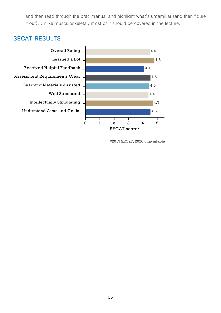and then read through the prac manual and highlight what's unfamiliar (and then figure it out). Unlike musculoskeletal, most of it should be covered in the lecture.

## **SECAT RESULTS**



\*2019 SECaT, 2020 unavailable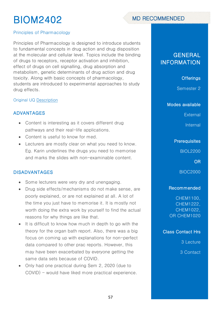# BIOM2402



Principles of Pharmacology

Principles of Pharmacology is designed to introduce students to fundamental concepts in drug action and drug disposition at the molecular and cellular level. Topics include the binding of drugs to receptors, receptor activation and inhibition, effect of drugs on cell signalling, drug absorption and metabolism, genetic determinants of drug action and drug toxicity. Along with basic concepts of pharmacology, students are introduced to experimental approaches to study drug effects.

#### Original UQ [Description](https://my.uq.edu.au/programs-courses/course.html?course_code=BIOM2402)

#### ADVANTAGES

- Content is interesting as it covers different drug pathways and their real-life applications.
- Content is useful to know for med.
- Lecturers are mostly clear on what you need to know. Eg. Karin underlines the drugs you need to memorise and marks the slides with non-examinable content.

#### DISADVANTAGES

- Some lecturers were very dry and unengaging.
- Drug side effects/mechanisms do not make sense, are poorly explained, or are not explained at all. A lot of the time you just have to memorise it. It is mostly not worth doing the extra work by yourself to find the actual reasons for why things are like that.
- It is difficult to know how much in depth to go with the theory for the organ bath report. Also, there was a big focus on coming up with explanations for non-perfect data compared to other prac reports. However, this may have been exacerbated by everyone getting the same data sets because of COVID.
- Only had one practical during Sem 2, 2020 (due to COVID) - would have liked more practical experience.

## **GENERAL** INFORMATION

**Offerings** 

Semester 2

Modes available

**External** 

Internal

## **Prerequisites**

BIOL2200

OR

BIOC2000

#### Recommended

CHEM1100, CHEM1222, CHEM1022, OR CHEM1020

Class Contact Hrs

3 Lecture

3 Contact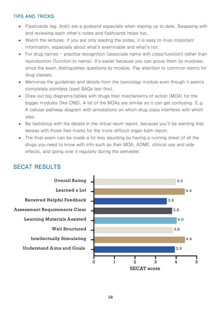## **TIPS AND TRICKS**

- Flashcards (eg. Anki) are a godsend especially when staying up to date. Swapping with and reviewing each other's notes and flashcards helps too.
- Watch the lectures. If you are only reading the slides, it is easy to miss important information, especially about what's examinable and what's not.
- For drug names practice recognition (associate name with class/function) rather than reproduction (function to name). It's easier because you can group them by modules, since the exam distinguishes questions by module. Pay attention to common stems for drug classes.
- Memorise the guidelines and details from the toxicology module even though it seems completely pointless (past SAQs test this).
- Draw out big diagrams/tables with drugs their mechanisms of action (MOA) for the bigger modules (like CNS). A lot of the MOAs are similar so it can get confusing. E.g. A cellular pathway diagram with annotations on which drug class interferes with which step.
- Be fastidious with the details in the virtual ileum report, because you'll be wanting that leeway with those free marks for the more difficult organ bath report.
- The final exam can be made a lot less daunting by having a running sheet of all the drugs you need to know with info such as their MOA, ADME, clinical use and side effects, and going over it regularly during the semester.

# **SECAT RESULTS**



#### 58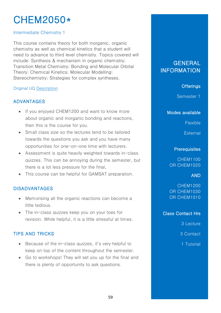# CHEM2050\*

## Intermediate Chemistry 1

This course contains theory for both inorganic, organic chemistry as well as chemical kinetics that a student will need to advance to third level chemistry. Topics covered will include: Synthesis & mechanism in organic chemistry; Transition Metal Chemistry; Bonding and Molecular Orbital Theory; Chemical Kinetics; Molecular Modelling; Stereochemistry; Strategies for complex syntheses.

## Original UQ [Description](https://my.uq.edu.au/programs-courses/course.html?course_code=CHEM2050)

## ADVANTAGES

- If you enjoyed CHEM1200 and want to know more about organic and inorganic bonding and reactions, then this is the course for you.
- Small class size so the lectures tend to be tailored towards the questions you ask and you have many opportunities for one-on-one time with lecturers.
- Assessment is quite heavily weighted towards in-class quizzes. This can be annoying during the semester, but there is a lot less pressure for the final.
- This course can be helpful for GAMSAT preparation.

## DISADVANTAGES

- Memorising all the organic reactions can become a little tedious.
- The in-class quizzes keep you on your toes for revision. While helpful, it is a little stressful at times.

## TIPS AND TRICKS

- Because of the in-class quizzes, it's very helpful to keep on top of the content throughout the semester.
- Go to workshops! They will set you up for the final and there is plenty of opportunity to ask questions.

# **GENERAL** INFORMATION

## **Offerings**

Semester 1

#### Modes available

Flexible

**External** 

#### **Prerequisites**

CHEM1100 OR CHEM1020

## AND

CHEM1200 OR CHEM1030 OR CHEM1010

## Class Contact Hrs

3 Lecture

- 3 Contact
- 1 Tutorial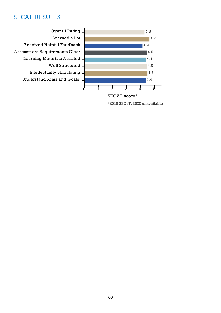**Overall Rating** Learned a Lot Received Helpful Feedback. Assessment Requirements Clear **Learning Materials Assisted** Well Structured **Intellectually Stimulating Understand Aims and Goals** 



\*2019 SECaT, 2020 unavailable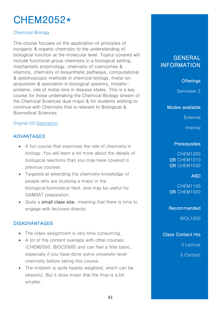# CHEM2052\*

## Chemical Biology

This course focuses on the application of principles of inorganic & organic chemistry to the understanding of biological function at the molecular level. Topics covered will include functional group chemistry in a biological setting, mechanistic enzymology, chemistry of coenzymes & vitamins, chemistry of biosynthetic pathways, computational & spectroscopic methods in chemical biology, metal ion acquisition & speciation in biological systems, metalloproteins, role of metal ions in disease states. This is a key course for those undertaking the Chemical Biology stream of the Chemical Sciences dual major & for students wishing to continue with Chemistry that is relevant to Biological & Biomedical Sciences.

## Original UQ [Description](https://my.uq.edu.au/programs-courses/course.html?course_code=CHEM2052)

## ADVANTAGES

- A fun course that examines the role of chemistry in biology. You will learn a lot more about the details of biological reactions than you may have covered in previous courses.
- Targeted at extending the chemistry knowledge of people who are studying a major in the biological/biomedical field, and may be useful for GAMSAT preparation.
- Quite a small class size, meaning that there is time to engage with lecturers directly.

## DISADVANTAGES

- The video assignment is very time consuming.
- A lot of the content overlaps with other courses (CHEM2050, BIOC2000) and can feel a little basic, especially if you have done some university-level chemistry before taking this course.
- The midsem is quite heavily weighted, which can be stressful. But it does mean that the final is a bit smaller.

## **GENERAL** INFORMATION

## **Offerings**

Semester 2

#### Modes available

**External** 

Internal

#### **Prerequisites**

CHEM1200 OR CHEM1010 OR CHEM1030

## AND

CHEM1100 OR CHEM1020

#### Recommended

BIOL1020

Class Contact Hrs

3 Lecture

3 Contact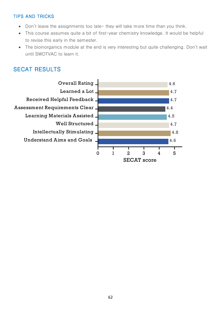## **TIPS AND TRICKS**

- Don't leave the assignments too late-they will take more time than you think.
- This course assumes quite a bit of first-year chemistry knowledge. It would be helpful to revise this early in the semester.
- The bioinorganics module at the end is very interesting but quite challenging. Don't wait until SWOTVAC to learn it.

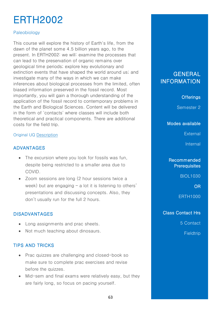# ERTH2002

## Paleobiology

This course will explore the history of Earth's life, from the dawn of the planet some 4.5 billion years ago, to the present. In ERTH2002: we will: examine the processes that can lead to the preservation of organic remains over geological time periods; explore key evolutionary and extinction events that have shaped the world around us; and investigate many of the ways in which we can make inferences about biological processes from the limited, often biased information preserved in the fossil record. Most importantly, you will gain a thorough understanding of the application of the fossil record to contemporary problems in the Earth and Biological Sciences. Content will be delivered in the form of 'contacts' where classes will include both theoretical and practical components. There are additional costs for the field trip.

## Original UQ [Description](https://my.uq.edu.au/programs-courses/course.html?course_code=erth2002)

## ADVANTAGES

- The excursion where you look for fossils was fun, despite being restricted to a smaller area due to COVID.
- Zoom sessions are long (2 hour sessions twice a week) but are engaging – a lot it is listening to others' presentations and discussing concepts. Also, they don't usually run for the full 2 hours.

## DISADVANTAGES

- Long assignments and prac sheets.
- Not much teaching about dinosaurs.

## TIPS AND TRICKS

- Prac quizzes are challenging and closed-book so make sure to complete prac exercises and revise before the quizzes.
- Mid-sem and final exams were relatively easy, but they are fairly long, so focus on pacing yourself.

## **GENERAL** INFORMATION

## **Offerings**

Semester 2

Modes available

**External** 

Internal

## Recommended **Prerequisites**

BIOL1030

OR

ERTH1000

## Class Contact Hrs

5 Contact

**Fieldtrip**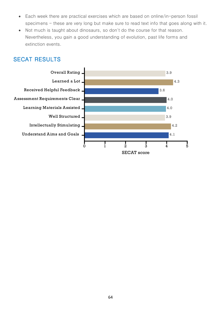- Each week there are practical exercises which are based on online/in-person fossil specimens - these are very long but make sure to read text info that goes along with it.
- Not much is taught about dinosaurs, so don't do the course for that reason. Nevertheless, you gain a good understanding of evolution, past life forms and extinction events.

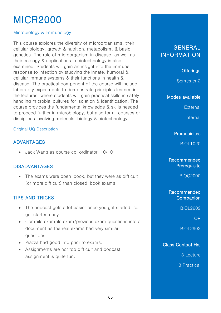# MICR2000

## Microbiology & Immunology

This course explores the diversity of microorganisms, their cellular biology, growth & nutrition, metabolism, & basic genetics. The role of microorganism in disease, as well as their ecology & applications in biotechnology is also examined. Students will gain an insight into the immune response to infection by studying the innate, humoral & cellular immune systems & their functions in health & disease. The practical component of the course will include laboratory experiments to demonstrate principles learned in the lectures, where students will gain practical skills in safely handling microbial cultures for isolation & identification. The course provides the fundamental knowledge & skills needed to proceed further in microbiology, but also for all courses or disciplines involving molecular biology & biotechnology.

## Original UQ [Description](https://my.uq.edu.au/programs-courses/course.html?course_code=micr2000)

## ADVANTAGES

• Jack Wang as course co-ordinator: 10/10

## DISADVANTAGES

• The exams were open-book, but they were as difficult (or more difficult) than closed-book exams.

## TIPS AND TRICKS

- The podcast gets a lot easier once you get started, so get started early.
- Compile example exam/previous exam questions into a document as the real exams had very similar questions.
- Piazza had good info prior to exams.
- Assignments are not too difficult and podcast assignment is quite fun.

# **GENERAL** INFORMATION

## **Offerings**

Semester 2

Modes available

**External** 

Internal

#### **Prerequisites**

BIOL1020

## Recommended **Prerequisite**

BIOC2000

Recommended **Companion** 

BIOL2202

OR

BIOL2902

## Class Contact Hrs

3 Lecture

3 Practical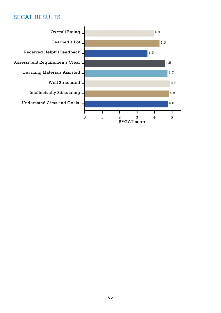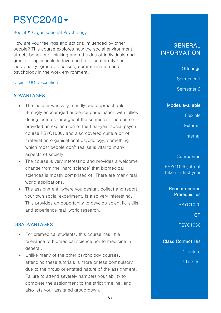# PSYC2040\*

## Social & Organisational Psychology

How are your feelings and actions influenced by other people? This course explores how the social environment affects behaviour, thinking and attitudes of individuals and groups. Topics include love and hate, conformity and individuality, group processes, communication and psychology in the work environment.

#### Original UQ [Description](https://my.uq.edu.au/programs-courses/course.html?course_code=psyc2040)

## ADVANTAGES

- The lecturer was very friendly and approachable. Strongly encouraged audience participation with lollies during lectures throughout the semester. The course provided an explanation of the first-year social psych course PSYC1030, and also covered quite a bit of material on organisational psychology, something which most people don't realise is vital to many aspects of society.
- The course is very interesting and provides a welcome change from the 'hard science' that biomedical sciences is mostly comprised of. There are many realworld applications.
- The assignment, where you design, collect and report your own social experiment, is also very interesting. This provides an opportunity to develop scientific skills and experience real-world research.

## DISADVANTAGES

- For premedical students, this course has little relevance to biomedical science nor to medicine in general.
- Unlike many of the other psychology courses, attending these tutorials is more or less compulsory due to the group orientated nature of the assignment. Failure to attend severely hampers your ability to complete the assignment to the strict timeline, and also lets your assigned group down.

# **GENERAL** INFORMATION

## **Offerings**

Semester 1

Semester 2

#### Modes available

Flexible

**External** 

**Internal** 

#### **Companion**

PSYC1040, if not taken in first year

Recommended **Prerequisites** 

PSYC1020

OR

PSYC1030

Class Contact Hrs

2 Lecture

2 Tutorial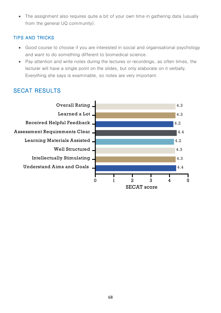• The assignment also requires quite a bit of your own time in gathering data (usually from the general UQ community).

## **TIPS AND TRICKS**

- Good course to choose if you are interested in social and organisational psychology and want to do something different to biomedical science.
- Pay attention and write notes during the lectures or recordings, as often times, the lecturer will have a single point on the slides, but only elaborate on it verbally. Everything she says is examinable, so notes are very important.

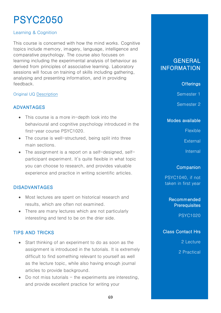# PSYC2050

## Learning & Cognition

This course is concerned with how the mind works. Cognitive topics include memory, imagery, language, intelligence and comparative psychology. The course also focuses on learning including the experimental analysis of behaviour as derived from principles of associative learning. Laboratory sessions will focus on training of skills including gathering, analysing and presenting information, and in providing feedback.

#### Original UQ [Description](https://my.uq.edu.au/programs-courses/course.html?course_code=psyc2050)

## ADVANTAGES

- This course is a more in-depth look into the behavioural and cognitive psychology introduced in the first-year course PSYC1020.
- The course is well-structured, being split into three main sections.
- The assignment is a report on a self-designed, selfparticipant experiment. It's quite flexible in what topic you can choose to research, and provides valuable experience and practice in writing scientific articles.

## DISADVANTAGES

- Most lectures are spent on historical research and results, which are often not examined.
- There are many lectures which are not particularly interesting and tend to be on the drier side.

## TIPS AND TRICKS

- Start thinking of an experiment to do as soon as the assignment is introduced in the tutorials. It is extremely difficult to find something relevant to yourself as well as the lecture topic, while also having enough journal articles to provide background.
- Do not miss tutorials  $-$  the experiments are interesting, and provide excellent practice for writing your

# **GENERAL** INFORMATION

## **Offerings**

Semester 1

Semester 2

Modes available

**Flexible** 

**External** 

**Internal** 

## **Companion**

PSYC1040, if not taken in first year

> Recommended **Prerequisites**

> > PSYC1020

Class Contact Hrs

2 Lecture

2 Practical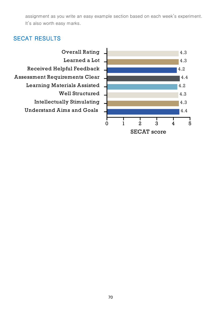assignment as you write an easy example section based on each week's experiment. It's also worth easy marks.



**SECAT** score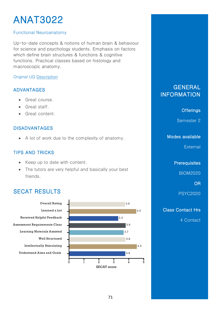# **ANAT3022**

### **Functional Neuroanatomy**

Up-to-date concepts & notions of human brain & behaviour for science and psychology students. Emphasis on factors which define brain structures & functions & cognitive functions. Practical classes based on histology and macroscopic anatomy.

### **Original UQ Description**

### **ADVANTAGES**

- Great course.  $\bullet$
- Great staff.  $\bullet$
- Great content.

### **DISADVANTAGES**

• A lot of work due to the complexity of anatomy.

### **TIPS AND TRICKS**

- Keep up to date with content.
- The tutors are very helpful and basically your best friends.

# **SECAT RESULTS**



## **GENERAL INFORMATION**

**Offerings** 

Semester 2

### Modes available

External

**Prerequisites** 

**BIOM2020** 

**OR** 

**PSYC2020** 

### **Class Contact Hrs**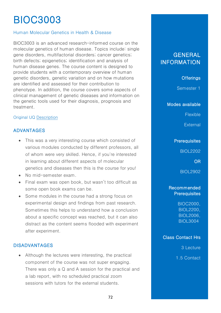# BIOC3003

### Human Molecular Genetics in Health & Disease

BIOC3003 is an advanced research-informed course on the molecular genetics of human disease. Topics include: single gene disorders, multifactorial disorders; cancer genetics; birth defects; epigenetics; identification and analysis of human disease genes. The course content is designed to provide students with a contemporary overview of human genetic disorders, genetic variation and on how mutations are identified and assessed for their contribution to phenotype. In addition, the course covers some aspects of clinical management of genetic diseases and information on the genetic tools used for their diagnosis, prognosis and treatment.

#### Original UQ [Description](https://my.uq.edu.au/programs-courses/course.html?course_code=bioc3003)

### ADVANTAGES

- This was a very interesting course which consisted of various modules conducted by different professors, all of whom were very skilled. Hence, if you're interested in learning about different aspects of molecular genetics and diseases then this is the course for you!
- No mid-semester exam
- Final exam was open book, but wasn't too difficult as some open book exams can be.
- Some modules in the course had a strong focus on experimental design and findings from past research. Sometimes this helps to understand how a conclusion about a specific concept was reached, but it can also distract as the content seems flooded with experiment after experiment.

### DISADVANTAGES

• Although the lectures were interesting, the practical component of the course was not super engaging. There was only a Q and A session for the practical and a lab report, with no scheduled practical zoom sessions with tutors for the external students.

## GENERAL INFORMATION

**Offerings** 

Semester 1

Modes available

Flexible

**External** 

### **Prerequisites**

BIOL2202

OR

BIOL2902

### Recommended **Prerequisites**

BIOC2000, BIOL2200, BIOL2006, BIOL3004,

### Class Contact Hrs

3 Lecture

1.5 Contact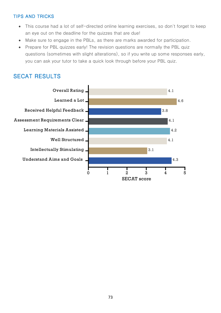### **TIPS AND TRICKS**

- This course had a lot of self-directed online learning exercises, so don't forget to keep an eye out on the deadline for the quizzes that are due!
- Make sure to engage in the PBLs, as there are marks awarded for participation.  $\bullet$
- Prepare for PBL quizzes early! The revision questions are normally the PBL quiz  $\bullet$ questions (sometimes with slight alterations), so if you write up some responses early, you can ask your tutor to take a quick look through before your PBL quiz.

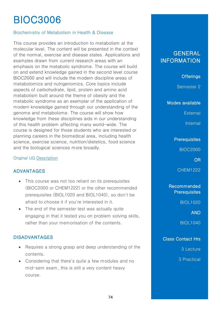# BIOC3006

### Biochemistry of Metabolism in Health & Disease

This course provides an introduction to metabolism at the molecular level. The content will be presented in the context of the normal, exercise and disease states. Applications and examples drawn from current research areas with an emphasis on the metabolic syndrome. The course will build on and extend knowledge gained in the second level course BIOC2000 and will include the modern discipline areas of metabolomics and nutrigenomics. Core topics include aspects of carbohydrate, lipid, protein and amino acid metabolism built around the theme of obesity and the metabolic syndrome as an exemplar of the application of modern knowledge gained through our understanding of the genome and metabolome. The course will show how knowledge from these disciplines aids in our understanding of this health problem affecting many world-wide. The course is designed for those students who are interested or planning careers in the biomedical area, including health science, exercise science, nutrition/dietetics, food science and the biological sciences more broadly.

#### Original UQ [Description](https://my.uq.edu.au/programs-courses/course.html?course_code=bioc3006)

### ADVANTAGES

- This course was not too reliant on its prerequisites (BIOC2000 or CHEM1222) or the other recommended prerequisites (BIOL1020 and BIOL1040), so don't be afraid to choose it if you're interested in it.
- The end of the semester test was actually quite engaging in that it tested you on problem solving skills, rather than your memorisation of the contents.

### DISADVANTAGES

- Requires a strong grasp and deep understanding of the contents.
- Considering that there's quite a few modules and no mid-sem exam, this is still a very content heavy course.

# **GENERAL** INFORMATION

**Offerings** 

Semester 2

Modes available

**External** 

Internal

**Prerequisites** 

BIOC2000

OR

CHEM1222

Recommended **Prerequisites** 

BIOL1020

AND

BIOL1040

### Class Contact Hrs

3 Lecture

3 Practical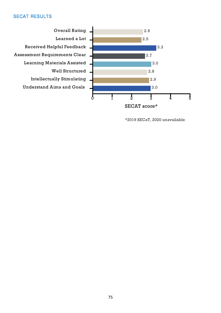

```
*2019 SECaT, 2020 unavailable
```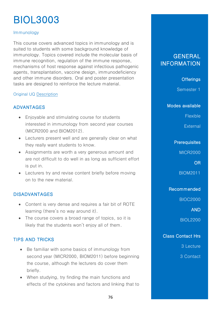# BIOL3003

### Immunology

This course covers advanced topics in immunology and is suited to students with some background knowledge of immunology. Topics covered include the molecular basis of immune recognition, regulation of the immune response, mechanisms of host response against infectious pathogenic agents, transplantation, vaccine design, immunodeficiency and other immune disorders. Oral and poster presentation tasks are designed to reinforce the lecture material.

### Original UQ [Description](https://my.uq.edu.au/programs-courses/course.html?course_code=biol3003)

### ADVANTAGES

- Enjoyable and stimulating course for students interested in immunology from second year courses (MICR2000 and BIOM2012).
- Lecturers present well and are generally clear on what they really want students to know.
- Assignments are worth a very generous amount and are not difficult to do well in as long as sufficient effort is put in.
- Lecturers try and revise content briefly before moving on to the new material.

### DISADVANTAGES

- Content is very dense and requires a fair bit of ROTE learning (there's no way around it).
- The course covers a broad range of topics, so it is likely that the students won't enjoy all of them.

### TIPS AND TRICKS

- Be familiar with some basics of immunology from second year (MICR2000, BIOM2011) before beginning the course, although the lecturers do cover them briefly.
- When studying, try finding the main functions and effects of the cytokines and factors and linking that to

### **GENERAL** INFORMATION

### **Offerings**

Semester 1

#### Modes available

Flexible

**External** 

### **Prerequisites**

MICR2000

OR

BIOM2011

### Recommended

BIOC2000

AND

BIOL2200

### Class Contact Hrs

3 Lecture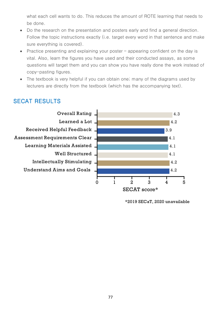what each cell wants to do. This reduces the amount of ROTE learning that needs to be done.

- Do the research on the presentation and posters early and find a general direction. Follow the topic instructions exactly (i.e. target every word in that sentence and make sure everything is covered).
- Practice presenting and explaining your poster  $\overline{\phantom{a}}$  appearing confident on the day is vital. Also, learn the figures you have used and their conducted assays, as some questions will target them and you can show you have really done the work instead of copy-pasting figures.
- The textbook is very helpful if you can obtain one; many of the diagrams used by lecturers are directly from the textbook (which has the accompanying text).



<sup>\*2019</sup> SECaT, 2020 unavailable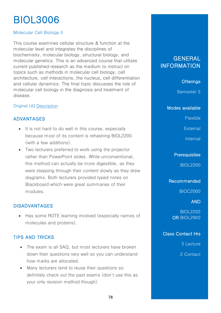# BIOL3006

### Molecular Cell Biology II

This course examines cellular structure & function at the molecular level and integrates the disciplines of biochemistry, molecular biology, structural biology, and molecular genetics. This is an advanced course that utilizes current published research as the medium to instruct on topics such as methods in molecular cell biology, cell architecture, cell interactions, the nucleus, cell differentiation and cellular dynamics. The final topic discusses the role of molecular cell biology in the diagnosis and treatment of disease.

### Original UQ [Description](https://my.uq.edu.au/programs-courses/course.html?course_code=BIOL3006)

### ADVANTAGES

- It is not hard to do well in this course, especially because most of its content is rehashing BIOL2200 (with a few additions).
- Two lecturers preferred to work using the projector rather than PowerPoint slides. While unconventional, this method can actually be more digestible, as they were stepping through their content slowly as they drew diagrams. Both lecturers provided typed notes on Blackboard which were great summaries of their modules.

### DISADVANTAGES

• Has some ROTE learning involved (especially names of molecules and proteins).

### TIPS AND TRICKS

- The exam is all SAQ, but most lecturers have broken down their questions very well so you can understand how marks are allocated.
- Many lecturers tend to reuse their questions so definitely check out the past exams (don't use this as your only revision method though).

## **GENERAL INFORMATION**

**Offerings** 

Semester 2

Modes available

**Flexible** 

**External** 

Internal

### **Prerequisites**

BIOL2200

Recommended

BIOC2000

### AND

BIOL2202 **OR BIOL2902** 

### Class Contact Hrs

3 Lecture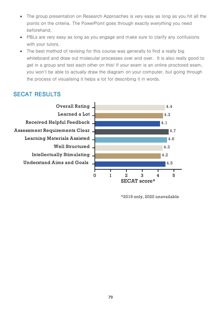- The group presentation on Research Approaches is very easy as long as you hit all the  $\bullet$ points on the criteria. The PowerPoint goes through exactly everything you need beforehand.
- PBLs are very easy as long as you engage and make sure to clarify any confusions with your tutors.
- The best method of revising for this course was generally to find a really big whiteboard and draw out molecular processes over and over. It is also really good to get in a group and test each other on this! If your exam is an online proctored exam, you won't be able to actually draw the diagram on your computer, but going through the process of visualising it helps a lot for describing it in words.

## **SECAT RESULTS**



\*2019 only, 2020 unavailable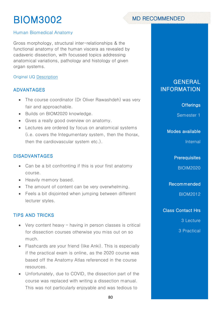# **MD RECOMMENDED**

### Human Biomedical Anatomy

Gross morphology, structural inter-relationships & the functional anatomy of the human viscera as revealed by cadaveric dissection, with focussed topics addressing anatomical variations, pathology and histology of given organ systems.

### Original UQ [Description](https://my.uq.edu.au/programs-courses/course.html?course_code=biom3002)

### ADVANTAGES

- The course coordinator (Dr Oliver Rawashdeh) was very fair and approachable.
- Builds on BIOM2020 knowledge.
- Gives a really good overview on anatomy.
- Lectures are ordered by focus on anatomical systems (i.e. covers the Integumentary system, then the thorax, then the cardiovascular system etc.).

### DISADVANTAGES

- Can be a bit confronting if this is your first anatomy course.
- Heavily memory based.
- The amount of content can be very overwhelming.
- Feels a bit disjointed when jumping between different lecturer styles.

### TIPS AND TRICKS

- Very content heavy having in person classes is critical for dissection courses otherwise you miss out on so much.
- Flashcards are your friend (like Anki). This is especially if the practical exam is online, as the 2020 course was based off the Anatomy Atlas referenced in the course resources.
- Unfortunately, due to COVID, the dissection part of the course was replaced with writing a dissection manual. This was not particularly enjoyable and was tedious to

# GENERAL INFORMATION

### **Offerings**

Semester 1

#### Modes available

Internal

**Prerequisites** 

BIOIM2020

Recommended

BIOM2012

### Class Contact Hrs

3 Lecture

3 Practical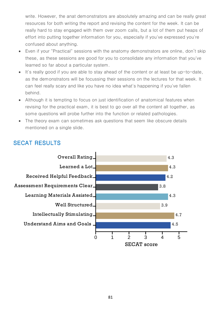write. However, the anat demonstrators are absolutely amazing and can be really great resources for both writing the report and revising the content for the week. It can be really hard to stay engaged with them over zoom calls, but a lot of them put heaps of effort into putting together information for you, especially if you've expressed you're confused about anything.

- Even if your "Practical" sessions with the anatomy demonstrators are online, don't skip these, as these sessions are good for you to consolidate any information that you've learned so far about a particular system.
- It's really good if you are able to stay ahead of the content or at least be up-to-date, as the demonstrators will be focussing their sessions on the lectures for that week. It can feel really scary and like you have no idea what's happening if you've fallen behind.
- Although it is tempting to focus on just identification of anatomical features when revising for the practical exam, it is best to go over all the content all together, as some questions will probe further into the function or related pathologies.
- The theory exam can sometimes ask questions that seem like obscure details mentioned on a single slide.

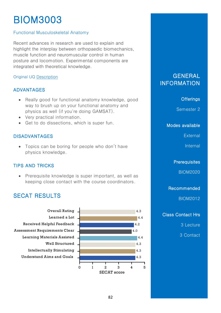### **Functional Musculoskeletal Anatomy**

Recent advances in research are used to explain and highlight the interplay between orthopaedic biomechanics, muscle function and neuromuscular control in human posture and locomotion. Experimental components are integrated with theoretical knowledge.

### Original UQ Description

### **ADVANTAGES**

- Really good for functional anatomy knowledge, good way to brush up on your functional anatomy and physics as well (if you're doing GAMSAT).
- Very practical information.
- Get to do dissections, which is super fun.

### **DISADVANTAGES**

• Topics can be boring for people who don't have physics knowledge.

### **TIPS AND TRICKS**

• Prerequisite knowledge is super important, as well as keeping close contact with the course coordinators.

## **SECAT RESULTS**



### **GENERAL INFORMATION**

#### **Offerings**

Semester 2

Modes available

External

Internal

**Prerequisites** 

**BIOM2020** 

Recommended

**BIOM2012** 

**Class Contact Hrs** 

3 Lecture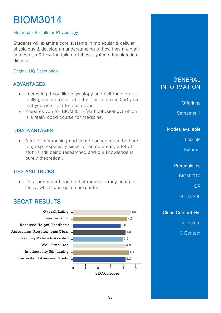### Molecular & Cellular Physiology

Students will examine core systems in molecular & cellular physiology & develop an understanding of how they maintain homestasis & how the failure of these systems translate into disease

### **Original UQ Description**

### **ADVANTAGES**

- Interesting if you like physiology and cell function  $-i$ t really goes into detail about all the topics in 2nd year that you were told to brush over.
- Prepares you for BIOM3015 (pathophysiology) which is a really good course for medicine.

### **DISADVANTAGES**

• A lot of memorising and some concepts can be hard to grasp, especially since for some areas, a lot of stuff is still being researched and our knowledge is purely theoretical.

### **TIPS AND TRICKS**

• It's a pretty hard course that requires many hours of study, which was quite unexpected.

### **SECAT RESULTS**



GENERAL **INFORMATION** 

### **Offerings**

Semester 1

Modes available

Flexible

External

**Prerequisites** 

**BIOM2012** 

**OR** 

**BIOL2200** 

### **Class Contact Hrs**

3 Lecture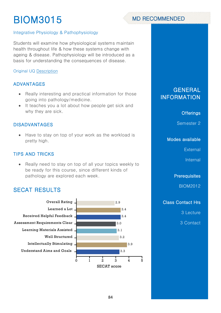# **MD RECOMMENDED**

### Integrative Physiology & Pathophysiology

Students will examine how physiological systems maintain health throughout life & how these systems change with ageing & disease. Pathophysiology will be introduced as a basis for understanding the consequences of disease.

### **Original UQ Description**

### **ADVANTAGES**

- Really interesting and practical information for those  $\bullet$ going into pathology/medicine.
- It teaches you a lot about how people get sick and why they are sick.

### **DISADVANTAGES**

• Have to stay on top of your work as the workload is pretty high.

### **TIPS AND TRICKS**

 $\bullet$ Really need to stay on top of all your topics weekly to be ready for this course, since different kinds of pathology are explored each week.

### **SECAT RESULTS**



### **GENERAL INFORMATION**

### **Offerings**

Semester 2

### Modes available

External

Internal

**Prerequisites** 

**BIOM2012** 

### **Class Contact Hrs**

3 Lecture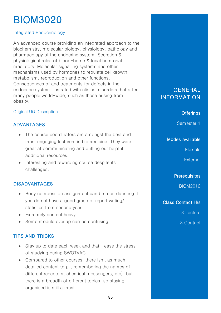### Integrated Endocrinology

An advanced course providing an integrated approach to the biochemistry, molecular biology, physiology, pathology and pharmacology of the endocrine system. Secretion & physiological roles of blood-borne & local hormonal mediators. Molecular signalling systems and other mechanisms used by hormones to regulate cell growth, metabolism, reproduction and other functions. Consequences of and treatments for defects in the endocrine system illustrated with clinical disorders that affect many people world-wide, such as those arising from obesity.

### Original UQ [Description](https://my.uq.edu.au/programs-courses/course.html?course_code=biom3020)

### ADVANTAGES

- The course coordinators are amongst the best and most engaging lecturers in biomedicine. They were great at communicating and putting out helpful additional resources.
- Interesting and rewarding course despite its challenges.

### DISADVANTAGES

- Body composition assignment can be a bit daunting if you do not have a good grasp of report writing/ statistics from second year.
- Extremely content heavy.
- Some module overlap can be confusing.

### TIPS AND TRICKS

- Stay up to date each week and that'll ease the stress of studying during SWOTVAC.
- Compared to other courses, there isn't as much detailed content (e.g., remembering the names of different receptors, chemical messengers, etc), but there is a breadth of different topics, so staying organised is still a must.

### **GENERAL** INFORMATION

### **Offerings**

Semester 1

### Modes available

Flexible

**External** 

**Prerequisites** 

BIOM2012

Class Contact Hrs

3 Lecture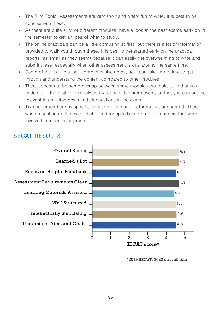- The "Hot Topic" Assessments are very short and pretty fun to write. It is best to be concise with these.
- As there are quite a lot of different modules, have a look at the past exams early on in the semester to get an idea of what to study.
- The online practicals can be a little confusing at first, but there is a lot of information provided to walk you through these. It is best to get started early on the practical reports (as small as they seem) because it can easily get overwhelming to write and submit these, especially when other assessment is due around the same time.
- Some of the lecturers lack comprehensive notes, so it can take more time to get through and understand the content compared to other modules.
- There appears to be some overlap between some modules, so make sure that you understand the distinctions between what each lecturer covers, so that you can put the relevant information down in their questions in the exam.
- Try and remember any specific genes/proteins and isoforms that are named. There was a question on the exam that asked for specific isoforms of a protein that were involved in a particular process.



<sup>\*2019</sup> SECaT, 2020 unavailable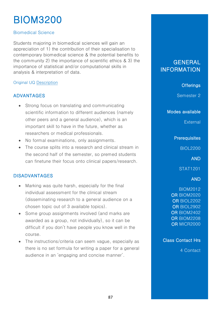### Biomedical Science

Students majoring in biomedical sciences will gain an appreciation of 1) the contribution of their specialisation to contemporary biomedical science & the potential benefits to the community 2) the importance of scientific ethics & 3) the importance of statistical and/or computational skills in analysis & interpretation of data.

### Original UQ [Description](https://my.uq.edu.au/programs-courses/course.html?course_code=biom3200)

### ADVANTAGES

- Strong focus on translating and communicating scientific information to different audiences (namely other peers and a general audience), which is an important skill to have in the future, whether as researchers or medical professionals.
- No formal examinations, only assignments.
- The course splits into a research and clinical stream in the second half of the semester, so premed students can finetune their focus onto clinical papers/research.

### DISADVANTAGES

- Marking was quite harsh, especially for the final individual assessment for the clinical stream (disseminating research to a general audience on a chosen topic out of 3 available topics).
- Some group assignments involved (and marks are awarded as a group, not individually), so it can be difficult if you don't have people you know well in the course.
- The instructions/criteria can seem vague, especially as there is no set formula for writing a paper for a general audience in an 'engaging and concise manner'.

## **GENERAL** INFORMATION

### **Offerings**

Semester 2

Modes available

**External** 

### **Prerequisites**

BIOL2200

AND

STAT1201

### AND

BIOM2012 OR BIOM2020 OR BIOL2202 OR BIOL2902 OR BIOM2402 OR BIOM2208 OR MICR2000

Class Contact Hrs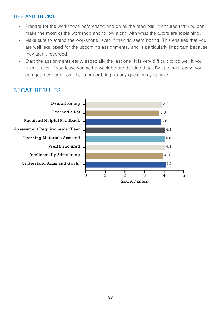### **TIPS AND TRICKS**

- Prepare for the workshops beforehand and do all the readings! It ensures that you can make the most of the workshop and follow along with what the tutors are explaining.
- Make sure to attend the workshops, even if they do seem boring. This ensures that you are well-equipped for the upcoming assignments, and is particularly important because they aren't recorded.
- Start the assignments early, especially the last one. It is very difficult to do well if you  $\bullet$ rush it, even if you leave yourself a week before the due date. By starting it early, you can get feedback from the tutors or bring up any questions you have.

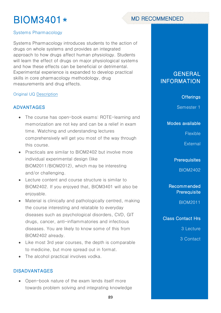# BIOM3401\*



### Systems Pharmacology

Systems Pharmacology introduces students to the action of drugs on whole systems and provides an integrated approach to how drugs affect human physiology. Students will learn the effect of drugs on major physiological systems and how these effects can be beneficial or detrimental. Experimental experience is expanded to develop practical skills in core pharmacology methodology, drug measurements and drug effects.

#### Original UQ [Description](https://my.uq.edu.au/programs-courses/course.html?course_code=biom3401)

### ADVANTAGES

- The course has open-book exams: ROTE-learning and memorization are not key and can be a relief in exam time. Watching and understanding lectures comprehensively will get you most of the way through this course.
- Practicals are similar to BIOM2402 but involve more individual experimental design (like BIOM2011/BIOM2012), which may be interesting and/or challenging.
- Lecture content and course structure is similar to BIOM2402. If you enjoyed that, BIOM3401 will also be enjoyable.
- Material is clinically and pathologically centred, making the course interesting and relatable to everyday diseases such as psychological disorders, CVD, GIT drugs, cancer, anti-inflammatories and infectious diseases. You are likely to know some of this from BIOM2402 already.
- Like most 3rd year courses, the depth is comparable to medicine, but more spread out in format.
- The alcohol practical involves vodka.

### DISADVANTAGES

• Open-book nature of the exam lends itself more towards problem solving and integrating knowledge

### **GENERAL** INFORMATION

#### **Offerings**

Semester 1

Modes available

Flexible

**External** 

#### **Prerequisites**

BIOM2402

Recommended **Prerequisite** 

BIOM2011

Class Contact Hrs

3 Lecture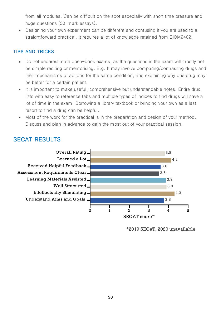from all modules. Can be difficult on the spot especially with short time pressure and huge questions (30-mark essays).

Designing your own experiment can be different and confusing if you are used to a straightforward practical. It requires a lot of knowledge retained from BIOM2402.

### **TIPS AND TRICKS**

- Do not underestimate open-book exams, as the questions in the exam will mostly not be simple reciting or memorising. E.g. It may involve comparing/contrasting drugs and their mechanisms of actions for the same condition, and explaining why one drug may be better for a certain patient.
- It is important to make useful, comprehensive but understandable notes. Entire drug lists with easy to reference tabs and multiple types of indices to find drugs will save a lot of time in the exam. Borrowing a library textbook or bringing your own as a last resort to find a drug can be helpful.
- Most of the work for the practical is in the preparation and design of your method. Discuss and plan in advance to gain the most out of your practical session.



<sup>\*2019</sup> SECaT, 2020 unavailable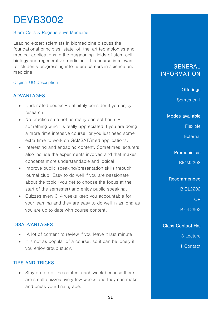# DEVB3002

### Stem Cells & Regenerative Medicine

Leading expert scientists in biomedicine discuss the foundational principles, state-of-the-art technologies and medical applications in the burgeoning fields of stem cell biology and regenerative medicine. This course is relevant for students progressing into future careers in science and medicine.

### Original UQ [Description](https://my.uq.edu.au/programs-courses/course.html?course_code=devb3002)

### ADVANTAGES

- Underrated course definitely consider if you enjoy research.
- No practicals so not as many contact hours  $$ something which is really appreciated if you are doing a more time intensive course, or you just need some extra time to work on GAMSAT/med applications.
- Interesting and engaging content. Sometimes lecturers also include the experiments involved and that makes concepts more understandable and logical.
- Improve public speaking/presentation skills through journal club. Easy to do well if you are passionate about the topic (you get to choose the focus at the start of the semester) and enjoy public speaking.
- Quizzes every 3-4 weeks keep you accountable for your learning and they are easy to do well in as long as you are up to date with course content.

### DISADVANTAGES

- A lot of content to review if you leave it last minute.
- It is not as popular of a course, so it can be lonely if you enjoy group study.

### TIPS AND TRICKS

• Stay on top of the content each week because there are small quizzes every few weeks and they can make and break your final grade.

## **GENERAL INFORMATION**

### **Offerings**

Semester 1

Modes available

Flexible

**External** 

**Prerequisites** 

BIOM2208

Recommended

BIOL2202

OR

BIOL2902

Class Contact Hrs

3 Lecture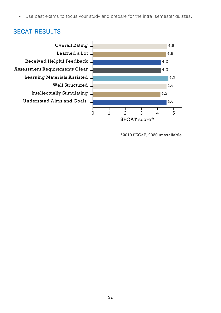• Use past exams to focus your study and prepare for the intra-semester quizzes.



<sup>\*2019</sup> SECaT, 2020 unavailable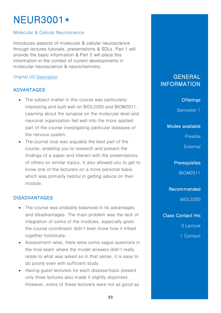# **NEUR3001\***

### Molecular & Cellular Neuroscience

Introduces aspects of molecular & cellular neuroscience through lectures tutorials, presentations & SDLs. Part 1 will provide the basic information & Part 2 will place this information in the context of current developments in molecular neuroscience & neurochemistry.

### Original UQ [Description](https://my.uq.edu.au/programs-courses/course.html?course_code=neur3001)

### ADVANTAGES

- The subject matter in this course was particularly interesting and built well on BIOL2200 and BIOM2011. Learning about the synapse on the molecular level and neuronal organisation fed well into the more applied part of the course investigating particular diseases of the nervous system.
- The journal club was arguably the best part of the course, enabling you to research and present the findings of a paper and interact with the presentations of others on similar topics. It also allowed you to get to know one of the lecturers on a more personal basis which was primarily helpful in getting advice on their module.

### DISADVANTAGES

- The course was probably balanced in its advantages and disadvantages. The main problem was the lack of integration of some of the modules, especially given the course coordinator didn't even know how it linked together holistically.
- Assessment-wise, there were some vague questions in the final exam where the model answers didn't really relate to what was asked so in that sense, it is easy to do poorly even with sufficient study.
- Having guest lecturers for each disease/topic present only three lectures also made it slightly disjointed. However, some of these lecturers were not as good as

### GENERAL **INFORMATION**

### **Offerings**

Semester 1

Modes available

Flexible

**External** 

**Prerequisites** 

BIOM2011

Recommended

BIOL2200

Class Contact Hrs

3 Lecture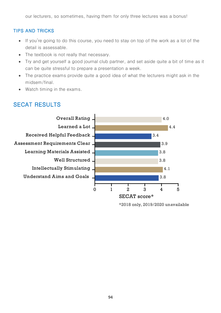our lecturers, so sometimes, having them for only three lectures was a bonus!

### **TIPS AND TRICKS**

- If you're going to do this course, you need to stay on top of the work as a lot of the  $\bullet$ detail is assessable.
- The textbook is not really that necessary.
- Try and get yourself a good journal club partner, and set aside quite a bit of time as it can be quite stressful to prepare a presentation a week.
- The practice exams provide quite a good idea of what the lecturers might ask in the midsem/final.
- Watch timing in the exams.

## **SECAT RESULTS**



\*2018 only, 2019/2020 unavailable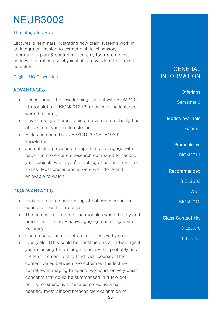# NEUR3002

### The Integrated Brain

Lectures & seminars illustrating how brain systems work in an integrated fashion to extract high level sensory information, plan & control movement, form memories, cope with emotional & physical stress, & adapt to drugs of addiction.

### Original UQ [Description](https://my.uq.edu.au/programs-courses/course.html?course_code=neur3002)

### ADVANTAGES

- Decent amount of overlapping content with BIOM2402  $(1 \text{ module})$  and BIOM2012  $(2 \text{ modules} - \text{the lectures})$ were the same).
- Covers many different topics, so you can probably find at least one you're interested in.
- Builds on some basic PSYC1020/NEUR1020 knowledge.
- Journal club provided an opportunity to engage with papers in more current research compared to second year subjects where you're looking at papers from the sixties. Most presentations were well-done and enjoyable to watch.

### DISADVANTAGES

- Lack of structure and feeling of cohesiveness in the course across the modules.
- The content for some of the modules was a bit dry and presented in a less-than-engaging manner by some lecturers.
- Course coordinator is often unresponsive by email.
- Low-yield. (This could be construed as an advantage if you're looking for a bludge course – this probably has the least content of any third-year course.) The content varies between two extremes: the lecturer somehow managing to spend two hours on very basic concepts that could be summarised in a few dot points, or spending 3 minutes providing a halfhearted, mostly incomprehensible explanation of

95

# **GENERAL** INFORMATION

### **Offerings**

Semester 2

Modes available

**External** 

### **Prerequisites**

BIOM2011

Recommended

BIOL2200

AND

BIOM2012

Class Contact Hrs

3 Lecture

1 Tutorial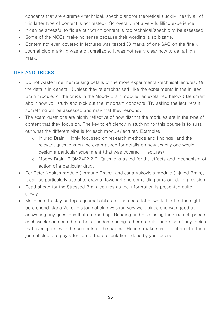concepts that are extremely technical, specific and/or theoretical (luckily, nearly all of this latter type of content is not tested). So overall, not a very fulfilling experience.

- It can be stressful to figure out which content is too technical/specific to be assessed.
- Some of the MCQs make no sense because their wording is so bizarre.
- Content not even covered in lectures was tested (3 marks of one SAQ on the final).
- Journal club marking was a bit unreliable. It was not really clear how to get a high mark.

### TIPS AND TRICKS

- Do not waste time memorising details of the more experimental/technical lectures. Or the details in general. (Unless they're emphasised, like the experiments in the Injured Brain module, or the drugs in the Moody Brain module, as explained below.) Be smart about how you study and pick out the important concepts. Try asking the lecturers if something will be assessed and pray that they respond.
- The exam questions are highly reflective of how distinct the modules are in the type of content that they focus on. The key to efficiency in studying for this course is to suss out what the different vibe is for each module/lecturer. Examples:
	- o Injured Brain: Highly focussed on research methods and findings, and the relevant questions on the exam asked for details on how exactly one would design a particular experiment (that was covered in lectures).
	- o Moody Brain: BIOM2402 2.0. Questions asked for the effects and mechanism of action of a particular drug.
- For Peter Noakes module (Immune Brain), and Jana Vukovic's module (Injured Brain), it can be particularly useful to draw a flowchart and some diagrams out during revision.
- Read ahead for the Stressed Brain lectures as the information is presented quite slowly.
- Make sure to stay on top of journal club, as it can be a lot of work if left to the night beforehand. Jana Vukovic's journal club was run very well, since she was good at answering any questions that cropped up. Reading and discussing the research papers each week contributed to a better understanding of her module, and also of any topics that overlapped with the contents of the papers. Hence, make sure to put an effort into journal club and pay attention to the presentations done by your peers.